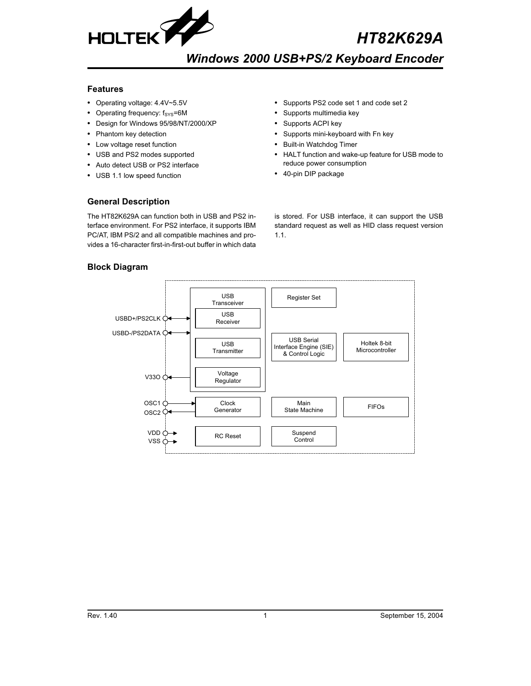

# *HT82K629A*

# *Windows 2000 USB+PS/2 Keyboard Encoder*

## **Features**

- Operating voltage: 4.4V~5.5V
- Operating frequency:  $f_{SYS} = 6M$
- Design for Windows 95/98/NT/2000/XP
- Phantom key detection
- Low voltage reset function
- USB and PS2 modes supported
- Auto detect USB or PS2 interface
- USB 1.1 low speed function
- Supports PS2 code set 1 and code set 2
- Supports multimedia key
- Supports ACPI key
- Supports mini-keyboard with Fn key
- Built-in Watchdog Timer
- HALT function and wake-up feature for USB mode to reduce power consumption
- 40-pin DIP package

# **General Description**

The HT82K629A can function both in USB and PS2 interface environment. For PS2 interface, it supports IBM PC/AT, IBM PS/2 and all compatible machines and provides a 16-character first-in-first-out buffer in which data is stored. For USB interface, it can support the USB standard request as well as HID class request version 1.1.

# **Block Diagram**

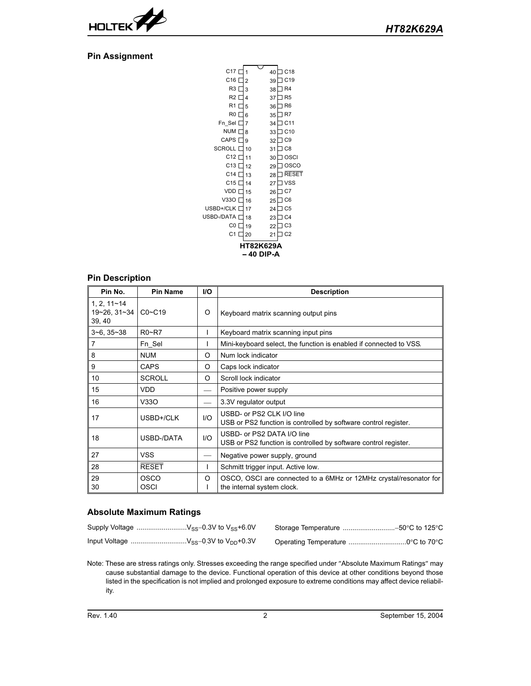

# **Pin Assignment**

| C <sub>17</sub>    | 1              | 40 | C18             |
|--------------------|----------------|----|-----------------|
| C <sub>16</sub> [  | $\overline{2}$ | 39 | C19             |
| R3 I               | 3              | 38 | R <sub>4</sub>  |
| R2 I               | 4              | 37 | R <sub>5</sub>  |
| R1 I               | 5              | 36 | R <sub>6</sub>  |
| R0 I               | 6              | 35 | R7              |
| Fn Sel [           | 7              | 34 | C <sub>11</sub> |
| NUM [              | 8              | 33 | C <sub>10</sub> |
| CAPS I             | 9              | 32 | C <sub>9</sub>  |
| <b>SCROLL</b>      | 10             | 31 | C <sub>8</sub>  |
| $C12$ <sup>[</sup> | 11             | 30 | OSCI            |
| C <sub>13</sub> [  | 12             | 29 | OSCO            |
| C <sub>14</sub> [  | 13             | 28 | <b>RESET</b>    |
| C15                | 14             | 27 | <b>VSS</b>      |
| VDD I              | 15             | 26 | C7              |
| V330 I             | 16             | 25 | C <sub>6</sub>  |
| USBD+/CLK I        | 17             | 24 | C <sub>5</sub>  |
| USBD-/DATA I       | 18             | 23 | C <sub>4</sub>  |
| C0 I               | 19             | 22 | C3              |
| C1[                | 20             | 21 | C <sub>2</sub>  |
|                    | HT82K629A      |    |                 |
|                    | 40 DIP-A       |    |                 |
|                    |                |    |                 |

# **Pin Description**

| Pin No.                                   | <b>Pin Name</b>            | <b>I/O</b> | <b>Description</b>                                                                              |
|-------------------------------------------|----------------------------|------------|-------------------------------------------------------------------------------------------------|
| $1, 2, 11 - 14$<br>19~26, 31~34<br>39, 40 | $CO - C19$                 | O          | Keyboard matrix scanning output pins                                                            |
| $3 - 6$ , $35 - 38$                       | $R0 - R7$                  |            | Keyboard matrix scanning input pins                                                             |
| 7                                         | Fn Sel                     |            | Mini-keyboard select, the function is enabled if connected to VSS.                              |
| 8                                         | <b>NUM</b>                 | O          | Num lock indicator                                                                              |
| 9                                         | <b>CAPS</b>                | O          | Caps lock indicator                                                                             |
| 10                                        | <b>SCROLL</b>              | O          | Scroll lock indicator                                                                           |
| 15                                        | <b>VDD</b>                 |            | Positive power supply                                                                           |
| 16                                        | V33O                       |            | 3.3V regulator output                                                                           |
| 17                                        | USBD+/CLK                  | 1/O        | USBD- or PS2 CLK I/O line<br>USB or PS2 function is controlled by software control register.    |
| 18                                        | USBD-/DATA                 | 1/O        | USBD- or PS2 DATA I/O line<br>USB or PS2 function is controlled by software control register.   |
| 27                                        | <b>VSS</b>                 |            | Negative power supply, ground                                                                   |
| 28                                        | <b>RESET</b>               |            | Schmitt trigger input. Active low.                                                              |
| 29<br>30                                  | <b>OSCO</b><br><b>OSCI</b> | O          | OSCO, OSCI are connected to a 6MHz or 12MHz crystal/resonator for<br>the internal system clock. |

# **Absolute Maximum Ratings**

Note: These are stress ratings only. Stresses exceeding the range specified under "Absolute Maximum Ratings" may cause substantial damage to the device. Functional operation of this device at other conditions beyond those listed in the specification is not implied and prolonged exposure to extreme conditions may affect device reliability.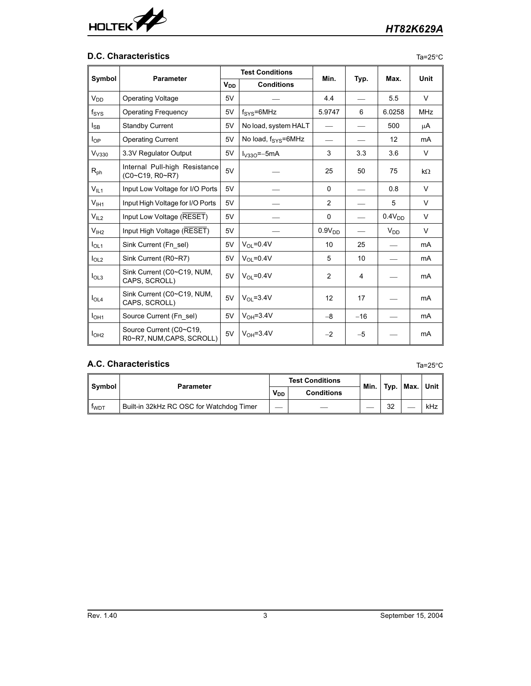

# **D.C. Characteristics**

|--|--|

|                   | <b>Parameter</b>                                     |                       | <b>Test Conditions</b>       |                    |       | Max.               | <b>Unit</b>    |
|-------------------|------------------------------------------------------|-----------------------|------------------------------|--------------------|-------|--------------------|----------------|
| Symbol            |                                                      | <b>V<sub>DD</sub></b> | <b>Conditions</b>            | Min.               | Typ.  |                    |                |
| $V_{DD}$          | <b>Operating Voltage</b>                             | 5V                    |                              | 4.4                |       | 5.5                | $\vee$         |
| $f_{\rm{SYS}}$    | <b>Operating Frequency</b>                           | 5V                    | $f_{\text{SYS}}=6MHz$        | 5.9747             | 6     | 6.0258             | <b>MHz</b>     |
| l <sub>SB</sub>   | <b>Standby Current</b>                               | 5V                    | No load, system HALT         |                    |       | 500                | μA             |
| $I_{OP}$          | <b>Operating Current</b>                             | 5V                    | No load, $f_{\rm{SYS}}=6MHz$ |                    |       | 12                 | m <sub>A</sub> |
| V <sub>V330</sub> | 3.3V Regulator Output                                | 5V                    | $I_{V33O} = -5mA$            | 3                  | 3.3   | 3.6                | V              |
| $R_{\sf ph}$      | Internal Pull-high Resistance<br>(C0~C19, R0~R7)     | 5V                    |                              | 25                 | 50    | 75                 | kΩ             |
| $V_{IL1}$         | Input Low Voltage for I/O Ports                      | 5V                    |                              | $\Omega$           |       | 0.8                | V              |
| V <sub>IH1</sub>  | Input High Voltage for I/O Ports                     | 5V                    |                              | 2                  |       | 5                  | V              |
| V <sub>IL2</sub>  | Input Low Voltage (RESET)                            | 5V                    |                              | $\Omega$           |       | 0.4V <sub>DD</sub> | V              |
| V <sub>IH2</sub>  | Input High Voltage (RESET)                           | 5V                    |                              | 0.9V <sub>DD</sub> |       | $V_{DD}$           | V              |
| I <sub>OL1</sub>  | Sink Current (Fn sel)                                | 5V                    | $V_{\Omega}$ = 0.4 V         | 10                 | 25    |                    | mA             |
| I <sub>OL2</sub>  | Sink Current (R0~R7)                                 | 5V                    | $V_{\Omega}$ = 0.4 V         | 5                  | 10    |                    | mA             |
| I <sub>OL3</sub>  | Sink Current (C0~C19, NUM,<br>CAPS, SCROLL)          | 5V                    | $V_{OL} = 0.4V$              | 2                  | 4     |                    | mA             |
| I <sub>OL4</sub>  | Sink Current (C0~C19, NUM,<br>CAPS, SCROLL)          | 5V                    | $V_{\Omega} = 3.4V$          | 12                 | 17    |                    | mA             |
| I <sub>OH1</sub>  | Source Current (Fn sel)                              | 5V                    | $VOH=3.4V$                   | $-8$               | $-16$ |                    | mA             |
| I <sub>OH2</sub>  | Source Current (C0~C19,<br>R0~R7, NUM, CAPS, SCROLL) | 5V                    | $VOH=3.4V$                   | $-2$               | $-5$  |                    | mA             |

# **A.C. Characteristics** Ta=25°C

| Svmbol      | <b>Parameter</b>                         | <b>Test Conditions</b> |                   | Min. | Typ. | ∣Max. ∣Unit I |
|-------------|------------------------------------------|------------------------|-------------------|------|------|---------------|
|             |                                          |                        | <b>Conditions</b> |      |      |               |
| <b>TWDT</b> | Built-in 32kHz RC OSC for Watchdog Timer | --                     |                   |      | 32   | kHz           |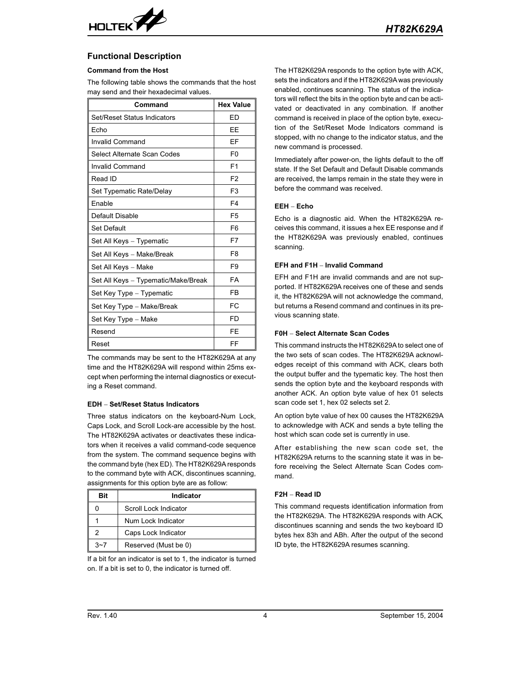

# **Functional Description**

## **Command from the Host**

The following table shows the commands that the host may send and their hexadecimal values.

| Command                             | <b>Hex Value</b> |
|-------------------------------------|------------------|
| Set/Reset Status Indicators         | FD               |
| Echo                                | EЕ               |
| Invalid Command                     | EF               |
| Select Alternate Scan Codes         | F <sub>0</sub>   |
| Invalid Command                     | F <sub>1</sub>   |
| Read ID                             | F2               |
| Set Typematic Rate/Delay            | F <sub>3</sub>   |
| Enable                              | F4               |
| Default Disable                     | F <sub>5</sub>   |
| <b>Set Default</b>                  | F <sub>6</sub>   |
| Set All Keys - Typematic            | F7               |
| Set All Keys - Make/Break           | F8               |
| Set All Keys - Make                 | F9               |
| Set All Keys - Typematic/Make/Break | FA               |
| Set Key Type - Typematic            | FB               |
| Set Key Type - Make/Break           | FC.              |
| Set Key Type - Make                 | FD               |
| Resend                              | FF               |
| Reset                               | FF               |

The commands may be sent to the HT82K629A at any time and the HT82K629A will respond within 25ms except when performing the internal diagnostics or executing a Reset command.

## **EDH Set/Reset Status Indicators**

Three status indicators on the keyboard-Num Lock, Caps Lock, and Scroll Lock-are accessible by the host. The HT82K629A activates or deactivates these indicators when it receives a valid command-code sequence from the system. The command sequence begins with the command byte (hex ED). The HT82K629A responds to the command byte with ACK, discontinues scanning, assignments for this option byte are as follow:

| Bit | Indicator             |  |  |  |
|-----|-----------------------|--|--|--|
|     | Scroll Lock Indicator |  |  |  |
|     | Num Lock Indicator    |  |  |  |
| 2   | Caps Lock Indicator   |  |  |  |
|     | Reserved (Must be 0)  |  |  |  |

If a bit for an indicator is set to 1, the indicator is turned on. If a bit is set to 0, the indicator is turned off.

The HT82K629A responds to the option byte with ACK, sets the indicators and if the HT82K629A was previously enabled, continues scanning. The status of the indicators will reflect the bits in the option byte and can be activated or deactivated in any combination. If another command is received in place of the option byte, execution of the Set/Reset Mode Indicators command is stopped, with no change to the indicator status, and the new command is processed.

Immediately after power-on, the lights default to the off state. If the Set Default and Default Disable commands are received, the lamps remain in the state they were in before the command was received.

### **EEH Echo**

Echo is a diagnostic aid. When the HT82K629A receives this command, it issues a hex EE response and if the HT82K629A was previously enabled, continues scanning.

#### **EFH and F1H - Invalid Command**

EFH and F1H are invalid commands and are not supported. If HT82K629A receives one of these and sends it, the HT82K629A will not acknowledge the command, but returns a Resend command and continues in its previous scanning state.

#### **F0H Select Alternate Scan Codes**

This command instructs the HT82K629A to select one of the two sets of scan codes. The HT82K629A acknowledges receipt of this command with ACK, clears both the output buffer and the typematic key. The host then sends the option byte and the keyboard responds with another ACK. An option byte value of hex 01 selects scan code set 1, hex 02 selects set 2.

An option byte value of hex 00 causes the HT82K629A to acknowledge with ACK and sends a byte telling the host which scan code set is currently in use.

After establishing the new scan code set, the HT82K629A returns to the scanning state it was in before receiving the Select Alternate Scan Codes command.

## **F2H Read ID**

This command requests identification information from the HT82K629A. The HT82K629A responds with ACK, discontinues scanning and sends the two keyboard ID bytes hex 83h and ABh. After the output of the second ID byte, the HT82K629A resumes scanning.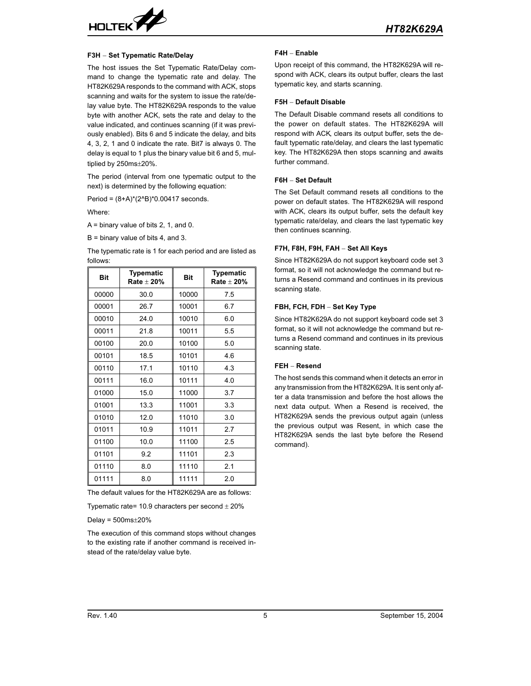

#### **F3H Set Typematic Rate/Delay**

The host issues the Set Typematic Rate/Delay command to change the typematic rate and delay. The HT82K629A responds to the command with ACK, stops scanning and waits for the system to issue the rate/delay value byte. The HT82K629A responds to the value byte with another ACK, sets the rate and delay to the value indicated, and continues scanning (if it was previously enabled). Bits 6 and 5 indicate the delay, and bits 4, 3, 2, 1 and 0 indicate the rate. Bit7 is always 0. The delay is equal to 1 plus the binary value bit 6 and 5, multiplied by  $250$ ms $\pm$ 20%.

The period (interval from one typematic output to the next) is determined by the following equation:

Period = (8+A)\*(2^B)\*0.00417 seconds.

Where:

A = binary value of bits 2, 1, and 0.

B = binary value of bits 4, and 3.

The typematic rate is 1 for each period and are listed as follows:

| <b>Bit</b> | <b>Typematic</b><br>Rate $\pm$ 20% | <b>Bit</b> | <b>Typematic</b><br>Rate $\pm$ 20% |
|------------|------------------------------------|------------|------------------------------------|
| 00000      | 30.0                               | 10000      | 7.5                                |
| 00001      | 26.7                               | 10001      | 6.7                                |
| 00010      | 24.0                               | 10010      | 6.0                                |
| 00011      | 21.8                               | 10011      | 5.5                                |
| 00100      | 20.0                               | 10100      | 5.0                                |
| 00101      | 18.5                               | 10101      | 4.6                                |
| 00110      | 17.1                               | 10110      | 4.3                                |
| 00111      | 16.0                               | 10111      | 4.0                                |
| 01000      | 15.0                               | 11000      | 3.7                                |
| 01001      | 13.3                               | 11001      | 3.3                                |
| 01010      | 12.0                               | 11010      | 3.0                                |
| 01011      | 10.9                               | 11011      | 2.7                                |
| 01100      | 10.0                               | 11100      | 2.5                                |
| 01101      | 9.2                                | 11101      | 2.3                                |
| 01110      | 8.0                                | 11110      | 2.1                                |
| 01111      | 8.0                                | 11111      | 2.0                                |

The default values for the HT82K629A are as follows:

Typematic rate= 10.9 characters per second  $\pm$  20%

Delay =  $500ms \pm 20%$ 

The execution of this command stops without changes to the existing rate if another command is received instead of the rate/delay value byte.

#### **F4H Enable**

Upon receipt of this command, the HT82K629A will respond with ACK, clears its output buffer, clears the last typematic key, and starts scanning.

#### **F5H Default Disable**

The Default Disable command resets all conditions to the power on default states. The HT82K629A will respond with ACK, clears its output buffer, sets the default typematic rate/delay, and clears the last typematic key. The HT82K629A then stops scanning and awaits further command.

## **F6H** - Set Default

The Set Default command resets all conditions to the power on default states. The HT82K629A will respond with ACK, clears its output buffer, sets the default key typematic rate/delay, and clears the last typematic key then continues scanning.

## **F7H, F8H, F9H, FAH Set All Keys**

Since HT82K629A do not support keyboard code set 3 format, so it will not acknowledge the command but returns a Resend command and continues in its previous scanning state.

#### FBH, FCH, FDH - Set Key Type

Since HT82K629A do not support keyboard code set 3 format, so it will not acknowledge the command but returns a Resend command and continues in its previous scanning state.

## **FEH Resend**

The host sends this command when it detects an error in any transmission from the HT82K629A. It is sent only after a data transmission and before the host allows the next data output. When a Resend is received, the HT82K629A sends the previous output again (unless the previous output was Resent, in which case the HT82K629A sends the last byte before the Resend command).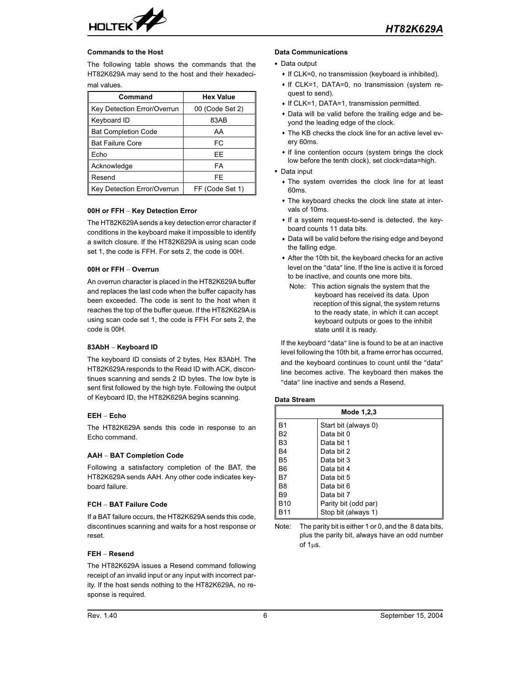

### **Commands to the Host**

The following table shows the commands that the HT82K629A may send to the host and their hexadecimal values.

| Command                     | <b>Hex Value</b> |  |  |
|-----------------------------|------------------|--|--|
| Key Detection Error/Overrun | 00 (Code Set 2)  |  |  |
| Keyboard ID                 | 83AB             |  |  |
| <b>Bat Completion Code</b>  | AA               |  |  |
| <b>Bat Failure Core</b>     | FC               |  |  |
| Echo                        | FF               |  |  |
| Acknowledge                 | FA               |  |  |
| Resend                      | FE               |  |  |
| Key Detection Error/Overrun | FF (Code Set 1)  |  |  |

## **00H or FFH Key Detection Error**

The HT82K629A sends a key detection error character if conditions in the keyboard make it impossible to identify a switch closure. If the HT82K629A is using scan code set 1, the code is FFH. For sets 2, the code is 00H.

### **00H or FFH Overrun**

An overrun character is placed in the HT82K629A buffer and replaces the last code when the buffer capacity has been exceeded. The code is sent to the host when it reaches the top of the buffer queue. If the HT82K629A is using scan code set 1, the code is FFH. For sets 2, the code is 00H.

## **83AbH Keyboard ID**

The keyboard ID consists of 2 bytes, Hex 83AbH. The HT82K629A responds to the Read ID with ACK, discontinues scanning and sends 2 ID bytes. The low byte is sent first followed by the high byte. Following the output of Keyboard ID, the HT82K629A begins scanning.

### **EEH Echo**

The HT82K629A sends this code in response to an Echo command.

#### **AAH BAT Completion Code**

Following a satisfactory completion of the BAT, the HT82K629A sends AAH. Any other code indicates keyboard failure.

## **FCH BAT Failure Code**

If a BAT failure occurs, the HT82K629A sends this code, discontinues scanning and waits for a host response or reset.

## **FEH Resend**

The HT82K629A issues a Resend command following receipt of an invalid input or any input with incorrect parity. If the host sends nothing to the HT82K629A, no response is required.

#### **Data Communications**

- Data output
	- If CLK=0, no transmission (keyboard is inhibited).
	- If CLK=1, DATA=0, no transmission (system request to send).
	- If CLK=1, DATA=1, transmission permitted.
	- Data will be valid before the trailing edge and beyond the leading edge of the clock.
	- The KB checks the clock line for an active level every 60ms.
	- If line contention occurs (system brings the clock low before the tenth clock), set clock=data=high.
- Data input
	- The system overrides the clock line for at least 60ms.
	- The keyboard checks the clock line state at intervals of 10ms.
	- If a system request-to-send is detected, the keyboard counts 11 data bits.
	- Data will be valid before the rising edge and beyond the falling edge.
	- After the 10th bit, the keyboard checks for an active level on the "data" line. If the line is active it is forced to be inactive, and counts one more bits.
		- Note: This action signals the system that the keyboard has received its data. Upon reception of this signal, the system returns to the ready state, in which it can accept keyboard outputs or goes to the inhibit state until it is ready.

If the keyboard "data" line is found to be at an inactive level following the 10th bit, a frame error has occurred, and the keyboard continues to count until the "data" line becomes active. The keyboard then makes the "data" line inactive and sends a Resend.

#### **Data Stream**

| Mode 1,2,3 |                      |  |  |  |
|------------|----------------------|--|--|--|
| B1         | Start bit (always 0) |  |  |  |
| <b>B2</b>  | Data bit 0           |  |  |  |
| B3         | Data bit 1           |  |  |  |
| B4         | Data bit 2           |  |  |  |
| <b>B5</b>  | Data bit 3           |  |  |  |
| Β6         | Data bit 4           |  |  |  |
| B7         | Data bit 5           |  |  |  |
| B8         | Data bit 6           |  |  |  |
| <b>B</b> 9 | Data bit 7           |  |  |  |
| <b>B10</b> | Parity bit (odd par) |  |  |  |
| B11        | Stop bit (always 1)  |  |  |  |

Note: The parity bit is either 1 or 0, and the 8 data bits, plus the parity bit, always have an odd number of 1us.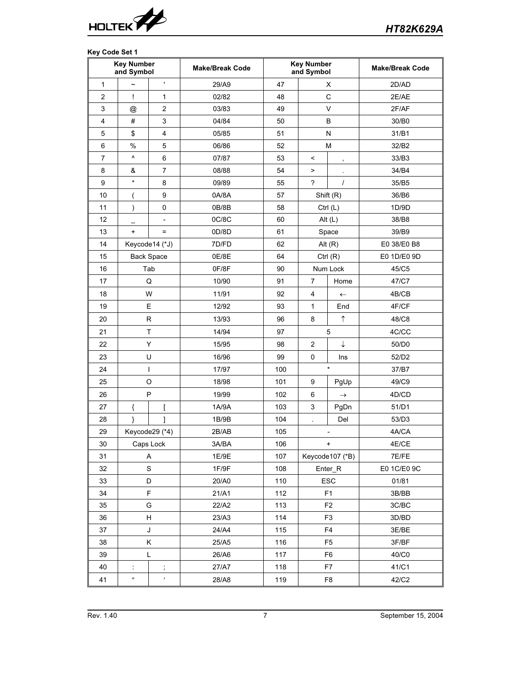

# **Key Code Set 1**

|                | <b>Key Number</b><br>and Symbol |                          | <b>Make/Break Code</b> | <b>Key Number</b><br>and Symbol |                      |                          | <b>Make/Break Code</b> |
|----------------|---------------------------------|--------------------------|------------------------|---------------------------------|----------------------|--------------------------|------------------------|
| 1              | $\tilde{\phantom{a}}$           | $\blacksquare$           | 29/A9                  | 47                              |                      | X                        | 2D/AD                  |
| $\overline{2}$ | Ţ                               | 1                        | 02/82                  | 48                              | C                    |                          | 2E/AE                  |
| 3              | @                               | $\boldsymbol{2}$         | 03/83                  | 49                              |                      | $\vee$                   | 2F/AF                  |
| 4              | $\#$                            | 3                        | 04/84                  | 50                              |                      | B                        | 30/B0                  |
| 5              | \$                              | $\overline{4}$           | 05/85                  | 51                              |                      | N                        | 31/B1                  |
| 6              | %                               | 5                        | 06/86                  | 52                              |                      | M                        | 32/B2                  |
| $\overline{7}$ | $\boldsymbol{\wedge}$           | 6                        | 07/87                  | 53                              | $\,<$                | $\,$                     | 33/B3                  |
| 8              | &                               | $\overline{7}$           | 08/88                  | 54                              | $\,$                 |                          | 34/B4                  |
| 9              | $\star$                         | 8                        | 09/89                  | 55                              | $\gamma$             | $\prime$                 | 35/B5                  |
| 10             |                                 | 9                        | 0A/8A                  | 57                              |                      | Shift (R)                | 36/B6                  |
| 11             | $\lambda$                       | $\pmb{0}$                | 0B/8B                  | 58                              |                      | Ctrl $(L)$               | 1D/9D                  |
| 12             |                                 | $\overline{\phantom{a}}$ | 0C/8C                  | 60                              |                      | Alt $(L)$                | 38/B8                  |
| 13             | $\ddot{}$                       | $=$                      | 0D/8D                  | 61                              |                      | Space                    | 39/B9                  |
| 14             |                                 | Keycode14 (*J)           | 7D/FD                  | 62                              |                      | Alt $(R)$                | E0 38/E0 B8            |
| 15             |                                 | <b>Back Space</b>        | 0E/8E                  | 64                              |                      | Ctrl $(R)$               | E0 1D/E0 9D            |
| 16             |                                 | Tab                      | 0F/8F                  | 90                              |                      | Num Lock                 | 45/C5                  |
| 17             |                                 | Q                        | 10/90                  | 91                              | 7                    | Home                     | 47/C7                  |
| 18             |                                 | W                        | 11/91                  | 92                              | 4                    | $\leftarrow$             | 4B/CB                  |
| 19             |                                 | E                        | 12/92                  | 93                              | 1                    | End                      | 4F/CF                  |
| 20             |                                 | R                        | 13/93                  | 96                              | 8                    | $\uparrow$               | 48/C8                  |
| 21             |                                 | T                        | 14/94                  | 97                              | 5                    |                          | 4C/CC                  |
| 22             |                                 | Y                        | 15/95                  | 98                              | ↓<br>$\overline{2}$  |                          | 50/D0                  |
| 23             |                                 | U                        | 16/96                  | 99                              | $\pmb{0}$            | Ins                      | 52/D2                  |
| 24             |                                 | $\mathsf{I}$             | 17/97                  | 100                             |                      | $\star$                  | 37/B7                  |
| 25             |                                 | O                        | 18/98                  | 101                             | 9                    | PgUp                     | 49/C9                  |
| 26             |                                 | P                        | 19/99                  | 102                             | 6                    | $\rightarrow$            | 4D/CD                  |
| 27             | {                               | ſ                        | 1A/9A                  | 103                             | 3                    | PgDn                     | 51/D1                  |
| 28             | ł                               | 1                        | 1B/9B                  | 104                             | $\ddot{\phantom{0}}$ | Del                      | 53/D3                  |
| 29             |                                 | Keycode29 (*4)           | 2B/AB                  | 105                             |                      | $\overline{\phantom{0}}$ | 4A/CA                  |
| 30             |                                 | Caps Lock                | 3A/BA                  | 106                             |                      | +                        | 4E/CE                  |
| 31             |                                 | A                        | 1E/9E                  | 107                             |                      | Keycode107 (*B)          | 7E/FE                  |
| 32             |                                 | S                        | 1F/9F                  | 108                             |                      | Enter_R                  | E0 1C/E0 9C            |
| 33             |                                 | D                        | 20/A0                  | 110                             |                      | ESC                      | 01/81                  |
| 34             |                                 | F                        | 21/A1                  | 112                             |                      | F <sub>1</sub>           | 3B/BB                  |
| 35             |                                 | G                        | 22/A2                  | 113                             |                      | F <sub>2</sub>           | 3C/BC                  |
| 36             |                                 | H                        | 23/A3                  | 114                             |                      | F <sub>3</sub>           | 3D/BD                  |
| 37             |                                 | J                        | 24/A4                  | 115                             |                      | F <sub>4</sub>           | 3E/BE                  |
| 38             |                                 | Κ                        | 25/A5                  | 116                             |                      | F <sub>5</sub>           | 3F/BF                  |
| 39             |                                 | L                        | 26/A6                  | 117                             |                      | F <sub>6</sub>           | 40/C0                  |
| 40             | ÷                               | $\vdots$                 | 27/A7                  | 118                             |                      | F7                       | 41/C1                  |
| 41             | $^{\prime\prime}$               | $\pmb{r}$                | 28/A8                  | 119                             | F <sub>8</sub>       |                          | 42/C2                  |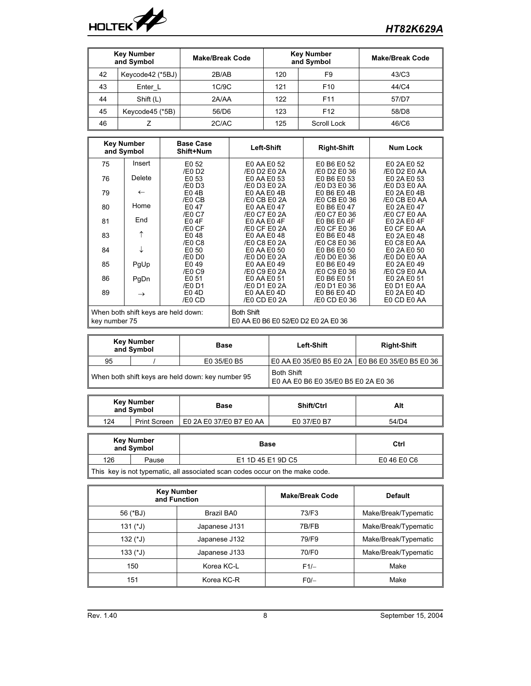

| <b>Key Number</b><br>and Symbol |                  | <b>Make/Break Code</b> | <b>Key Number</b><br>and Symbol |                 | <b>Make/Break Code</b> |
|---------------------------------|------------------|------------------------|---------------------------------|-----------------|------------------------|
| 42                              | Keycode42 (*5BJ) | 2B/AB                  | F <sub>9</sub><br>120           |                 | 43/C3                  |
| 43                              | Enter L          | 1C/9C                  | 121                             | F <sub>10</sub> | 44/C4                  |
| 44                              | Shift (L)        | 2A/AA                  | 122                             | F <sub>11</sub> | 57/D7                  |
| 45                              | Keycode45 (*5B)  | 56/D6                  | 123                             | F <sub>12</sub> | 58/D8                  |
| 46                              |                  | 2C/AC                  | 125                             | Scroll Lock     | 46/C6                  |

| <b>Key Number</b><br>and Symbol |               | <b>Base Case</b><br>Shift+Num       | Left-Shift                          | <b>Right-Shift</b>          | <b>Num Lock</b>            |  |
|---------------------------------|---------------|-------------------------------------|-------------------------------------|-----------------------------|----------------------------|--|
| 75                              | Insert        | E0 52                               | E0 AA E0 52                         | E0 B6 E0 52                 | E0 2A E0 52                |  |
|                                 |               | /E0 D2                              | /E0 D2 E0 2A                        | /E0 D2 E0 36                | /E0 D2 E0 AA               |  |
| 76                              | Delete        | E0 53                               | E0 AA E0 53                         | E0 B6 E0 53                 | E0 2A E0 53                |  |
|                                 |               | /E0 D3                              | /E0 D3 E0 2A                        | /E0 D3 E0 36                | /E0 D3 E0 AA               |  |
| 79                              | $\leftarrow$  | $E0$ 4B                             | $E0$ AA $E0$ 4B                     | E0 B6 E0 4B                 | E0 2A E0 4B                |  |
|                                 |               | /E0 CB                              | /E0 CB E0 2A                        | /E0 CB E0 36                | /E0 CB E0 AA               |  |
| 80                              | Home          | E047                                | E0 AA E0 47                         | E0 B6 E0 47                 | E0 2A E0 47                |  |
|                                 | End           | /E0 C7                              | /E0 C7 E0 2A                        | /E0 C7 E0 36                | /E0 C7 E0 AA               |  |
| 81                              |               | <b>E04F</b>                         | E0 AA E0 4F<br>/E0 CF E0 2A         | E0 B6 E0 4F<br>/E0 CF E0 36 | E0 2A E0 4F                |  |
| 83                              | ↑             | /E0 CF<br>E048                      | E0 AA E0 48                         | E0 B6 E0 48                 | E0 CF E0 AA<br>E0 2A E0 48 |  |
|                                 |               | $/EO$ $C8$                          | /E0 C8 E0 2A                        | /E0 C8 E0 36                | E0 C8 E0 AA                |  |
| 84                              | ↓             | E0 50                               | E0 AA E0 50                         | E0 B6 E0 50                 | E0 2A E0 50                |  |
|                                 |               | /E0 D0                              | /E0 D0 E0 2A                        | /E0 D0 E0 36                | /E0 D0 E0 AA               |  |
| 85                              | PgUp          | E049                                | E0 AA E0 49                         | E0 B6 E0 49                 | E0 2A E0 49                |  |
|                                 |               | /E0 C9                              | /E0 C9 E0 2A                        | /E0 C9 E0 36                | /E0 C9 E0 AA               |  |
| 86                              | PgDn          | E <sub>0</sub> 51                   | E0 AA E0 51                         | E0 B6 E0 51                 | E0 2A E0 51                |  |
|                                 |               | /E0 D1                              | /E0 D1 E0 2A                        | /E0 D1 E0 36                | E0 D1 E0 AA                |  |
| 89                              | $\rightarrow$ | E0 4D                               | E0 AA E0 4D                         | E0 B6 E0 4D                 | E0 2A E0 4D                |  |
|                                 |               | /E0 CD                              | /E0 CD E0 2A                        | /E0 CD E0 36                | E0 CD E0 AA                |  |
|                                 |               | When both shift keys are held down: | <b>Both Shift</b>                   |                             |                            |  |
|                                 |               |                                     |                                     |                             |                            |  |
| key number 75                   |               |                                     | E0 AA E0 B6 E0 52/E0 D2 E0 2A E0 36 |                             |                            |  |

| Key Number<br>and Symbol                          |  | Base        | <b>Left-Shift</b>                                        | <b>Right-Shift</b>                                |  |
|---------------------------------------------------|--|-------------|----------------------------------------------------------|---------------------------------------------------|--|
| 95                                                |  | E0 35/E0 B5 |                                                          | E0 AA E0 35/E0 B5 E0 2A   E0 B6 E0 35/E0 B5 E0 36 |  |
| When both shift keys are held down: key number 95 |  |             | <b>Both Shift</b><br>E0 AA E0 B6 E0 35/E0 B5 E0 2A E0 36 |                                                   |  |

| Key Number<br>and Symbol   |  | Base                    | Shift/Ctrl  | Alt   |
|----------------------------|--|-------------------------|-------------|-------|
| 124<br><b>Print Screen</b> |  | E0 2A E0 37/E0 B7 E0 AA | E0 37/E0 B7 | 54/D4 |

| Key Number<br>and Symbol                                                                |       | Base              | Ctrl        |  |  |
|-----------------------------------------------------------------------------------------|-------|-------------------|-------------|--|--|
| 126                                                                                     | Pause | E1 1D 45 E1 9D C5 | E0 46 E0 C6 |  |  |
| $\parallel$ This key is not type matic all associated scap sedge escur on the make sede |       |                   |             |  |  |

This key is not typematic, all associated scan codes occur on the make code.

|                   | <b>Key Number</b><br>and Function | <b>Make/Break Code</b> | <b>Default</b>       |
|-------------------|-----------------------------------|------------------------|----------------------|
| 56 (*BJ)          | Brazil BA0                        | 73/F3                  | Make/Break/Typematic |
| 131 $($ *J)       | Japanese J131                     | 7B/FB                  | Make/Break/Typematic |
| $132$ (*J)        | Japanese J132                     | 79/F9                  | Make/Break/Typematic |
| $133$ (*J)        | Japanese J133                     | 70/F0                  | Make/Break/Typematic |
| 150               | Korea KC-L                        | $F1/-$                 | Make                 |
| 151<br>Korea KC-R |                                   | $F0/-$                 | Make                 |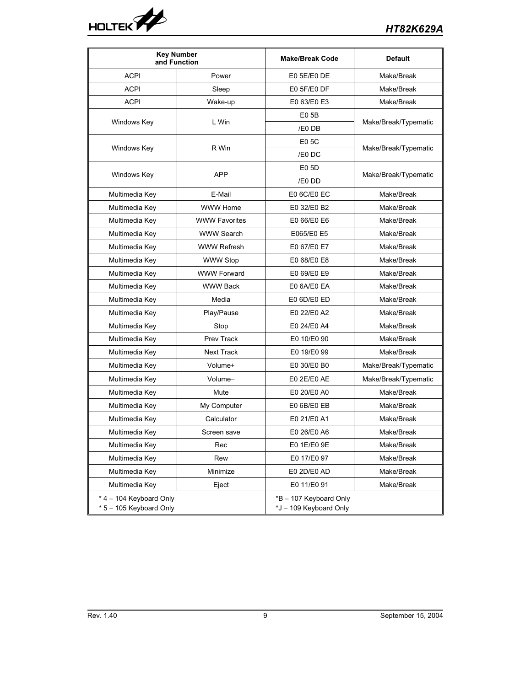

|                                                      | <b>Key Number</b><br>and Function | <b>Make/Break Code</b>                           | <b>Default</b>       |
|------------------------------------------------------|-----------------------------------|--------------------------------------------------|----------------------|
| <b>ACPI</b>                                          | Power                             | E0 5E/E0 DE                                      | Make/Break           |
| <b>ACPI</b>                                          | Sleep                             | E0 5F/E0 DF                                      | Make/Break           |
| <b>ACPI</b>                                          | Wake-up                           | E0 63/E0 E3                                      | Make/Break           |
|                                                      |                                   | E05B                                             |                      |
| Windows Key                                          | L Win                             | /E0 DB                                           | Make/Break/Typematic |
|                                                      |                                   | E0 5C                                            |                      |
| Windows Key                                          | R Win                             | /E0 DC                                           | Make/Break/Typematic |
|                                                      |                                   | E0 5D                                            |                      |
| Windows Key                                          | <b>APP</b>                        | /E0 DD                                           | Make/Break/Typematic |
| Multimedia Key                                       | E-Mail                            | E0 6C/E0 EC                                      | Make/Break           |
| Multimedia Key                                       | <b>WWW Home</b>                   | E0 32/E0 B2                                      | Make/Break           |
| Multimedia Key                                       | <b>WWW Favorites</b>              | E0 66/E0 E6                                      | Make/Break           |
| Multimedia Key                                       | <b>WWW Search</b>                 | E065/E0 E5                                       | Make/Break           |
| Multimedia Key                                       | <b>WWW Refresh</b>                | E0 67/E0 E7                                      | Make/Break           |
| Multimedia Key                                       | <b>WWW Stop</b>                   | E0 68/E0 E8                                      | Make/Break           |
| Multimedia Key                                       | <b>WWW Forward</b>                | E0 69/E0 E9                                      | Make/Break           |
| Multimedia Key                                       | <b>WWW Back</b>                   | E0 6A/E0 EA                                      | Make/Break           |
| Multimedia Key                                       | Media                             | E0 6D/E0 ED                                      | Make/Break           |
| Multimedia Key                                       | Play/Pause                        | E0 22/E0 A2                                      | Make/Break           |
| Multimedia Key                                       | Stop                              | E0 24/E0 A4                                      | Make/Break           |
| Multimedia Key                                       | Prev Track                        | E0 10/E0 90                                      | Make/Break           |
| Multimedia Key                                       | Next Track                        | E0 19/E0 99                                      | Make/Break           |
| Multimedia Key                                       | Volume+                           | E0 30/E0 B0                                      | Make/Break/Typematic |
| Multimedia Key                                       | Volume-                           | E0 2E/E0 AE                                      | Make/Break/Typematic |
| Multimedia Key                                       | Mute                              | E0 20/E0 A0                                      | Make/Break           |
| Multimedia Key                                       | My Computer                       | E0 6B/E0 EB                                      | Make/Break           |
| Multimedia Key                                       | Calculator                        | E0 21/E0 A1                                      | Make/Break           |
| Multimedia Kev                                       | Screen save                       | E0 26/E0 A6                                      | Make/Break           |
| Multimedia Key                                       | Rec                               | E0 1E/E0 9E                                      | Make/Break           |
| Multimedia Key                                       | Rew                               | E0 17/E0 97                                      | Make/Break           |
| Multimedia Key                                       | Minimize                          | E0 2D/E0 AD                                      | Make/Break           |
| Multimedia Key                                       | Eject                             | E0 11/E0 91                                      | Make/Break           |
| $*$ 4 – 104 Keyboard Only<br>* 5 - 105 Keyboard Only |                                   | *B - 107 Keyboard Only<br>*J - 109 Keyboard Only |                      |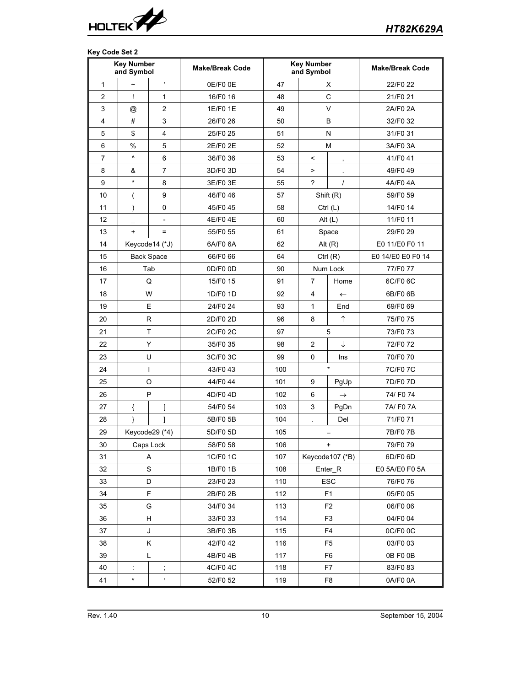

# **Key Code Set 2**

|                | <b>Key Number</b><br>and Symbol |                          | <b>Make/Break Code</b> |     | <b>Key Number</b><br>and Symbol |                    | <b>Make/Break Code</b> |
|----------------|---------------------------------|--------------------------|------------------------|-----|---------------------------------|--------------------|------------------------|
| $\mathbf{1}$   |                                 | $\mathbf{r}$             | 0E/F0 0E               | 47  |                                 | Х                  | 22/F0 22               |
| 2              | Ţ                               | $\mathbf{1}$             | 16/F0 16               | 48  |                                 | $\mathsf C$        | 21/F0 21               |
| 3              | @                               | 2                        | 1E/F0 1E               | 49  | $\vee$                          |                    | 2A/F0 2A               |
| 4              | #                               | 3                        | 26/F0 26               | 50  |                                 | B                  | 32/F0 32               |
| 5              | \$                              | $\overline{4}$           | 25/F0 25               | 51  |                                 | N                  | 31/F0 31               |
| 6              | %                               | 5                        | 2E/F0 2E               | 52  |                                 | M                  | 3A/F0 3A               |
| $\overline{7}$ | $\boldsymbol{\wedge}$           | 6                        | 36/F0 36               | 53  | $\,<\,$                         | ,                  | 41/F041                |
| 8              | &                               | $\overline{7}$           | 3D/F0 3D               | 54  | $\,$                            |                    | 49/F049                |
| 9              | $\star$                         | 8                        | 3E/F0 3E               | 55  | $\overline{\phantom{0}}$        | $\prime$           | 4A/F04A                |
| 10             |                                 | 9                        | 46/F046                | 57  |                                 | Shift (R)          | 59/F0 59               |
| 11             |                                 | 0                        | 45/F045                | 58  |                                 | Ctrl $(L)$         | 14/F0 14               |
| 12             |                                 | $\overline{\phantom{a}}$ | 4E/F04E                | 60  |                                 | Alt $(L)$          | 11/F0 11               |
| 13             | $\ddot{}$                       | $=$                      | 55/F0 55               | 61  |                                 | Space              | 29/F0 29               |
| 14             |                                 | Keycode14 (*J)           | 6A/F0 6A               | 62  |                                 | Alt $(R)$          | E0 11/E0 F0 11         |
| 15             |                                 | <b>Back Space</b>        | 66/F0 66               | 64  |                                 | Ctrl $(R)$         | E0 14/E0 E0 F0 14      |
| 16             |                                 | Tab                      | 0D/F0 0D               | 90  |                                 | Num Lock           | 77/F077                |
| 17             |                                 | Q                        | 15/F0 15               | 91  | 7                               | Home               | 6C/F0 6C               |
| 18             |                                 | W                        | 1D/F0 1D               | 92  | 4                               | $\leftarrow$       | 6B/F0 6B               |
| 19             |                                 | Е                        | 24/F0 24               | 93  | 1                               | End                | 69/F0 69               |
| 20             |                                 | $\mathsf{R}$             | 2D/F0 2D               | 96  | 8                               | $\uparrow$         | 75/F075                |
| 21             |                                 | T                        | 2C/F0 2C               | 97  |                                 | 5                  | 73/F073                |
| 22             |                                 | Y                        | 35/F0 35               | 98  | 2                               | $\downarrow$       | 72/F072                |
| 23             |                                 | U                        | 3C/F0 3C               | 99  | $\mathbf 0$                     | Ins                | 70/F0 70               |
| 24             |                                 | $\mathbf{I}$             | 43/F043                | 100 |                                 | $\star$            | 7C/F07C                |
| 25             |                                 | $\circ$                  | 44/F044                | 101 | 9                               | PgUp               | 7D/F0 7D               |
| 26             |                                 | P                        | 4D/F04D                | 102 | 6                               | $\rightarrow$      | 74/ F0 74              |
| 27             | {                               | ſ                        | 54/F0 54               | 103 | 3                               | PgDn               | 7A/ F0 7A              |
| 28             | ł                               | 1                        | 5B/F0 5B               | 104 | $\ddot{\phantom{0}}$            | Del                | 71/F071                |
| 29             |                                 | Keycode29 (*4)           | 5D/F0 5D               | 105 |                                 |                    | 7B/F07B                |
| 30             |                                 | Caps Lock                | 58/F0 58               | 106 |                                 |                    | 79/F079                |
| 31             |                                 | A                        | 1C/F0 1C               | 107 |                                 | Keycode107 (*B)    | 6D/F0 6D               |
| 32             |                                 | S                        | 1B/F0 1B               | 108 |                                 | Enter <sub>R</sub> | E0 5A/E0 F0 5A         |
| 33             |                                 | D                        | 23/F0 23               | 110 |                                 | <b>ESC</b>         | 76/F0 76               |
| 34             |                                 | F.                       | 2B/F0 2B               | 112 |                                 | F1                 | 05/F0 05               |
| 35             |                                 | G                        | 34/F0 34               | 113 |                                 | F <sub>2</sub>     | 06/F0 06               |
| 36             |                                 | H                        | 33/F0 33               | 114 |                                 | F3                 | 04/F0 04               |
| 37             |                                 | J                        | 3B/F0 3B               | 115 |                                 | F <sub>4</sub>     | 0C/F0 0C               |
| 38             |                                 | Κ                        | 42/F042                | 116 |                                 | F <sub>5</sub>     | 03/F0 03               |
| 39             |                                 | Г                        | 4B/F04B                | 117 |                                 | F6                 | 0B FO 0B               |
| 40             | ÷                               | $\frac{1}{2}$            | 4C/F04C                | 118 |                                 | F7                 | 83/F083                |
| 41             | $^{\prime\prime}$               | $\pmb{\mathcal{E}}$      | 52/F0 52               | 119 |                                 | F <sub>8</sub>     | 0A/F00A                |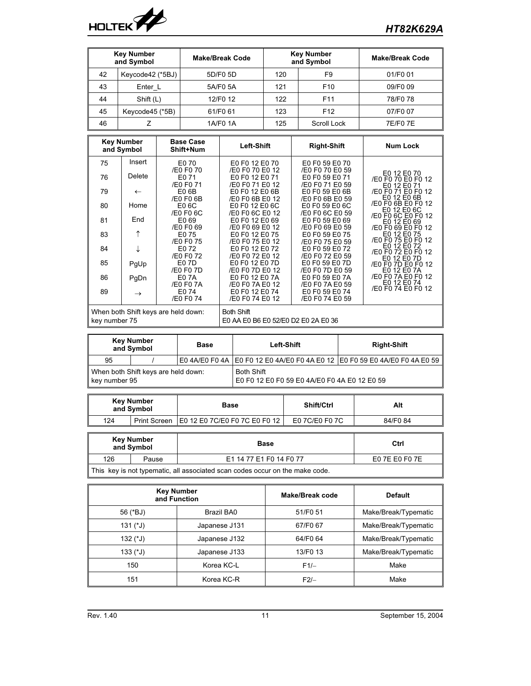

| <b>Key Number</b><br>and Symbol |                  | <b>Make/Break Code</b> | <b>Key Number</b><br>and Symbol |                 | <b>Make/Break Code</b> |
|---------------------------------|------------------|------------------------|---------------------------------|-----------------|------------------------|
| 42                              | Keycode42 (*5BJ) | 5D/F0 5D               | F <sub>9</sub><br>120           |                 | 01/F0 01               |
| 43                              | Enter L          | 5A/F0 5A               | 121                             | F <sub>10</sub> | 09/F0 09               |
| 44                              | Shift (L)        | 12/F0 12               | 122                             | F <sub>11</sub> | 78/F0 78               |
| 45                              | Keycode45 (*5B)  | 61/F0 61               | 123                             | F <sub>12</sub> | 07/F0 07               |
| 46                              |                  | 1A/F0 1A               | 125                             | Scroll Lock     | <b>7E/F07E</b>         |

| <b>Key Number</b><br>and Symbol                      |               | <b>Base Case</b><br>Shift+Num                            | Left-Shift                                           | <b>Right-Shift</b>                                   | <b>Num Lock</b>                                         |
|------------------------------------------------------|---------------|----------------------------------------------------------|------------------------------------------------------|------------------------------------------------------|---------------------------------------------------------|
| 75                                                   | Insert        | E0 70                                                    | E0 F0 12 E0 70                                       | E0 F0 59 E0 70                                       |                                                         |
| 76                                                   | Delete        | /E0 F0 70<br>E0 71<br>/E0 F0 71                          | /E0 F0 70 E0 12<br>E0 F0 12 E0 71<br>/E0 F0 71 E0 12 | /E0 F0 70 E0 59<br>E0 F0 59 E0 71<br>/E0 F0 71 E0 59 | E0 12 E0 70<br>/E0 F0 70 E0 F0 12<br>E0 12 E0 71        |
| 79                                                   | $\leftarrow$  | E0 6B<br>/E0 F0 6B                                       | E0 F0 12 E0 6B<br>/E0 F0 6B E0 12                    | E0 F0 59 E0 6B<br>/E0 F0 6B E0 59                    | /E0 F0 71 E0 F0 12<br>E0 12 E0 6B                       |
| 80                                                   | Home          | E0 6C<br>/E0 F0 6C                                       | E0 F0 12 E0 6C<br>/E0 F0 6C E0 12                    | E0 F0 59 E0 6C<br>/E0 F0 6C E0 59                    | /E0 F0 6B E0 F0 12<br>E0 12 E0 6C                       |
| 81                                                   | End           | E0 69<br>/E0 F0 69                                       | E0 F0 12 E0 69<br>/E0 F0 69 E0 12                    | E0 F0 59 E0 69<br>/E0 F0 69 E0 59                    | /E0 F0 6C E0 F0 12<br>E0 12 E0 69                       |
| 83                                                   | ↑             | E0 75                                                    | E0 F0 12 E0 75                                       | E0 F0 59 E0 75                                       | /E0 F0 69 E0 F0 12<br>E0 12 E0 75<br>/E0 F0 75 E0 F0 12 |
| 84                                                   | ↓             | /E0 F0 75<br>E0 72<br>/E0 F0 72                          | /E0 F0 75 E0 12<br>E0 F0 12 E0 72<br>/E0 F0 72 E0 12 | /E0 F0 75 E0 59<br>E0 F0 59 E0 72<br>/E0 F0 72 E0 59 | E0 12 E0 72<br>/E0 F0 72 E0 F0 12<br>E0 12 E0 7D        |
| 85                                                   | PgUp          | E0 7D<br>/E0 F0 7D                                       | E0 F0 12 E0 7D<br>/E0 F0 7D E0 12                    | E0 F0 59 E0 7D<br>/E0 F0 7D E0 59                    | /E0 F0 7D E0 F0 12<br>E0 12 E0 7A                       |
| 86                                                   | PgDn          | E0 7A<br>/E0 F0 7A                                       | E0 F0 12 E0 7A<br>/E0 F0 7A E0 12                    | E0 F0 59 E0 7A<br>/E0 F0 7A E0 59                    | /E0 F0 7A E0 F0 12<br>E0 12 E0 74                       |
| 89                                                   | $\rightarrow$ | E0 74<br>/E0 F0 74                                       | E0 F0 12 E0 74<br>/E0 F0 74 E0 12                    | E0 F0 59 E0 74<br>/E0 F0 74 E0 59                    | /E0 F0 74 E0 F0 12                                      |
| When both Shift keys are held down:<br>key number 75 |               | <b>Both Shift</b><br>E0 AA E0 B6 E0 52/E0 D2 E0 2A E0 36 |                                                      |                                                      |                                                         |

| <b>Key Number</b><br>and Symbol                      |  | Base | <b>Left-Shift</b>                                                              | <b>Right-Shift</b> |  |
|------------------------------------------------------|--|------|--------------------------------------------------------------------------------|--------------------|--|
| 95                                                   |  |      | E0 4A/E0 F0 4A   E0 F0 12 E0 4A/E0 F0 4A E0 12   E0 F0 59 E0 4A/E0 F0 4A E0 59 |                    |  |
| When both Shift keys are held down:<br>key number 95 |  |      | <b>Both Shift</b><br>E0 F0 12 E0 F0 59 E0 4A/E0 F0 4A E0 12 E0 59              |                    |  |

| <b>Key Number</b><br>and Symbol |              | Base                          | Shift/Ctrl     | Alt     |
|---------------------------------|--------------|-------------------------------|----------------|---------|
| 124                             | Print Screen | E0 12 E0 7C/E0 F0 7C E0 F0 12 | E0 7C/E0 F0 7C | 84/F084 |

|     | Key Number<br>and Symbol | Base                                                                         | Ctrl           |  |
|-----|--------------------------|------------------------------------------------------------------------------|----------------|--|
| 126 | Pause                    | E1 14 77 E1 F0 14 F0 77                                                      | E0 7E E0 F0 7E |  |
|     |                          | This key is not typematic, all associated scan codes occur on the make code. |                |  |

|             | <b>Key Number</b><br>and Function | Make/Break code | <b>Default</b>       |  |
|-------------|-----------------------------------|-----------------|----------------------|--|
| 56 (*BJ)    | Brazil BA0                        | 51/F0 51        | Make/Break/Typematic |  |
| 131 $($ *J) | Japanese J131                     | 67/F0 67        | Make/Break/Typematic |  |
| 132 (*J)    | Japanese J132                     | 64/F0 64        | Make/Break/Typematic |  |
| $133$ (*J)  | Japanese J133                     | 13/F0 13        | Make/Break/Typematic |  |
| 150         | Korea KC-L                        | $F1/-$          | Make                 |  |
| 151         | Korea KC-R                        | $F2/-$          | Make                 |  |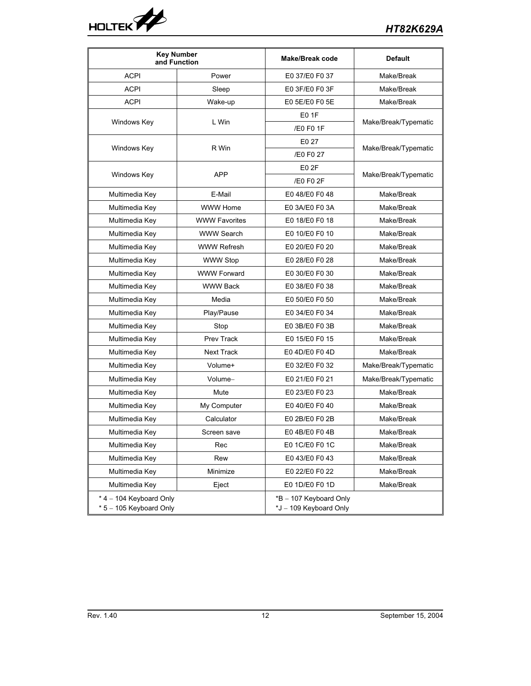

|                                                    | <b>Key Number</b><br>and Function | <b>Make/Break code</b>                           | <b>Default</b>       |
|----------------------------------------------------|-----------------------------------|--------------------------------------------------|----------------------|
| <b>ACPI</b>                                        | Power                             | E0 37/E0 F0 37                                   | Make/Break           |
| <b>ACPI</b>                                        | Sleep                             | E0 3F/E0 F0 3F                                   | Make/Break           |
| <b>ACPI</b>                                        | Wake-up                           | E0 5E/E0 F0 5E                                   | Make/Break           |
|                                                    |                                   | E0 1F                                            |                      |
| Windows Key                                        | L Win                             | /E0 F0 1F                                        | Make/Break/Typematic |
|                                                    |                                   | E0 27                                            |                      |
| Windows Key                                        | R Win                             | /E0 F0 27                                        | Make/Break/Typematic |
|                                                    |                                   | E0 2F                                            |                      |
| Windows Key                                        | <b>APP</b>                        | /E0 F0 2F                                        | Make/Break/Typematic |
| Multimedia Key                                     | E-Mail                            | E048/E0F048                                      | Make/Break           |
| Multimedia Key                                     | <b>WWW Home</b>                   | E0 3A/E0 F0 3A                                   | Make/Break           |
| Multimedia Key                                     | <b>WWW Favorites</b>              | E0 18/E0 F0 18                                   | Make/Break           |
| Multimedia Key                                     | <b>WWW Search</b>                 | E0 10/E0 F0 10                                   | Make/Break           |
| Multimedia Key                                     | <b>WWW Refresh</b>                | E0 20/E0 F0 20                                   | Make/Break           |
| Multimedia Key                                     | <b>WWW Stop</b>                   | E0 28/E0 F0 28                                   | Make/Break           |
| Multimedia Key                                     | <b>WWW Forward</b>                | E0 30/E0 F0 30                                   | Make/Break           |
| Multimedia Key                                     | <b>WWW Back</b>                   | E0 38/E0 F0 38                                   | Make/Break           |
| Multimedia Key                                     | Media                             | E0 50/E0 F0 50                                   | Make/Break           |
| Multimedia Key                                     | Play/Pause                        | E0 34/E0 F0 34                                   | Make/Break           |
| Multimedia Key                                     | Stop                              | E0 3B/E0 F0 3B                                   | Make/Break           |
| Multimedia Key                                     | Prev Track                        | E0 15/E0 F0 15                                   | Make/Break           |
| Multimedia Key                                     | <b>Next Track</b>                 | E0 4D/E0 F0 4D                                   | Make/Break           |
| Multimedia Key                                     | Volume+                           | E0 32/E0 F0 32                                   | Make/Break/Typematic |
| Multimedia Key                                     | Volume-                           | E0 21/E0 F0 21                                   | Make/Break/Typematic |
| Multimedia Key                                     | Mute                              | E0 23/E0 F0 23                                   | Make/Break           |
| Multimedia Key                                     | My Computer                       | E0 40/E0 F0 40                                   | Make/Break           |
| Multimedia Key                                     | Calculator                        | E0 2B/E0 F0 2B                                   | Make/Break           |
| Multimedia Kev                                     | Screen save                       | E04B/E0F04B                                      | Make/Break           |
| Multimedia Key                                     | Rec                               | E0 1C/E0 F0 1C                                   | Make/Break           |
| Multimedia Key                                     | Rew                               | E043/E0F043                                      | Make/Break           |
| Multimedia Key                                     | Minimize                          | E0 22/E0 F0 22                                   | Make/Break           |
| Multimedia Key                                     | Eject                             | E0 1D/E0 F0 1D                                   | Make/Break           |
| * 4 - 104 Keyboard Only<br>* 5 - 105 Keyboard Only |                                   | *B - 107 Keyboard Only<br>*J - 109 Keyboard Only |                      |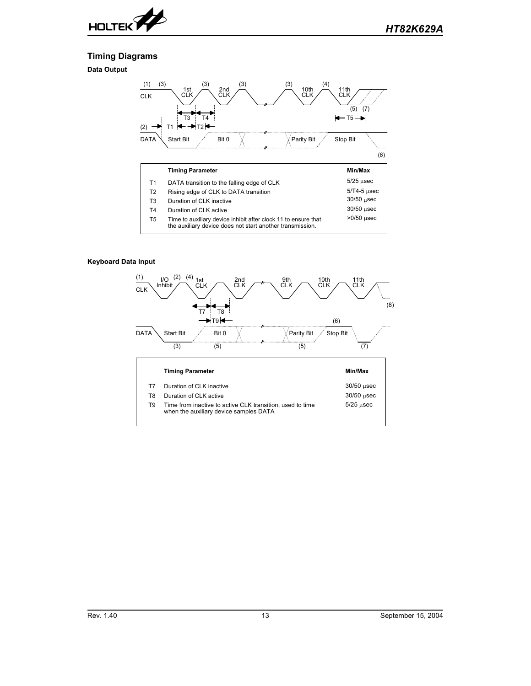

30/50 µsec  $\overline{\phantom{a}}$  $>0/50$  µsec  $\overline{a}$ 

# **Timing Diagrams**

**Data Output**



- $13$  Duration of CLK inactive
- $T4$  Duration of CLK active
- the auxiliary device does not start another transmission T5 Time to auxiliary device inhibit after clock 11 to ensure tha

## **Keyboard Data Input**

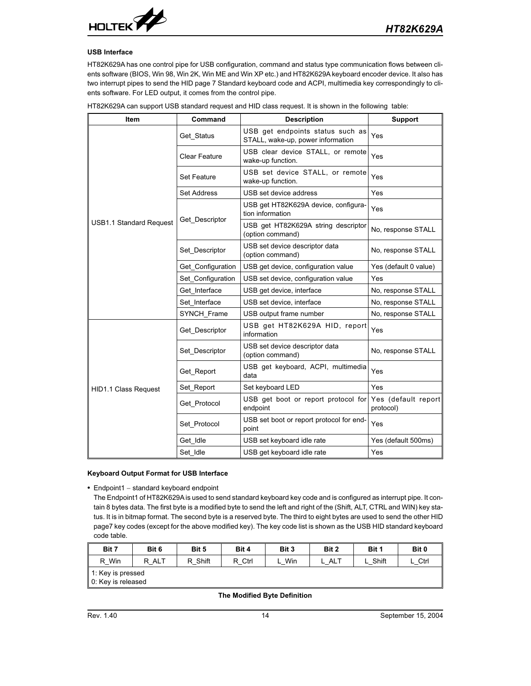

## **USB Interface**

HT82K629A has one control pipe for USB configuration, command and status type communication flows between clients software (BIOS, Win 98, Win 2K, Win ME and Win XP etc.) and HT82K629A keyboard encoder device. It also has two interrupt pipes to send the HID page 7 Standard keyboard code and ACPI, multimedia key correspondingly to clients software. For LED output, it comes from the control pipe.

|      |         | HT82K629A can support USB standard request and HID class request. It is shown in the following table: |         |
|------|---------|-------------------------------------------------------------------------------------------------------|---------|
| Item | Command | <b>Description</b>                                                                                    | Support |
|      |         | $\cdot$ $\sim$ $\sim$                                                                                 |         |

|                                | Get Status           | USB get endpoints status such as<br>STALL, wake-up, power information | Yes                              |
|--------------------------------|----------------------|-----------------------------------------------------------------------|----------------------------------|
|                                | <b>Clear Feature</b> | USB clear device STALL, or remote<br>wake-up function.                | Yes                              |
|                                | <b>Set Feature</b>   | USB set device STALL, or remote<br>wake-up function.                  | Yes                              |
|                                | <b>Set Address</b>   | USB set device address                                                | Yes                              |
|                                |                      | USB get HT82K629A device, configura-<br>tion information              | Yes                              |
| <b>USB1.1 Standard Request</b> | Get Descriptor       | USB get HT82K629A string descriptor<br>(option command)               | No, response STALL               |
|                                | Set Descriptor       | USB set device descriptor data<br>(option command)                    | No, response STALL               |
|                                | Get Configuration    | USB get device, configuration value                                   | Yes (default 0 value)            |
|                                | Set Configuration    | USB set device, configuration value                                   | Yes                              |
|                                | Get_Interface        | USB get device, interface                                             | No, response STALL               |
|                                | Set Interface        | USB set device, interface                                             | No, response STALL               |
|                                | SYNCH Frame          | USB output frame number                                               | No, response STALL               |
|                                | Get Descriptor       | USB get HT82K629A HID, report<br>information                          | Yes                              |
|                                | Set Descriptor       | USB set device descriptor data<br>(option command)                    | No, response STALL               |
|                                | Get Report           | USB get keyboard, ACPI, multimedia<br>data                            | Yes                              |
| <b>HID1.1 Class Request</b>    | Set Report           | Set keyboard LED                                                      | Yes                              |
|                                | Get Protocol         | USB get boot or report protocol for<br>endpoint                       | Yes (default report<br>protocol) |
|                                | Set Protocol         | USB set boot or report protocol for end-<br>point                     | Yes                              |
|                                | Get Idle             | USB set keyboard idle rate                                            | Yes (default 500ms)              |
|                                | Set Idle             | USB get keyboard idle rate                                            | Yes                              |

## **Keyboard Output Format for USB Interface**

• Endpoint1 - standard keyboard endpoint

The Endpoint1 of HT82K629A is used to send standard keyboard key code and is configured as interrupt pipe. It contain 8 bytes data. The first byte is a modified byte to send the left and right of the (Shift, ALT, CTRL and WIN) key status. It is in bitmap format. The second byte is a reserved byte. The third to eight bytes are used to send the other HID page7 key codes (except for the above modified key). The key code list is shown as the USB HID standard keyboard code table.

| Bit 7                                               | Bit 6     | Bit 5   | Bit 4  | Bit 3 | Bit 2 | Bit 1   | Bit 0 |
|-----------------------------------------------------|-----------|---------|--------|-------|-------|---------|-------|
| R Win                                               | ALT<br>R. | R Shift | R Ctrl | Win   | . ALT | . Shift | Ctrl  |
| $\parallel$ 1: Key is pressed<br>0: Key is released |           |         |        |       |       |         |       |

## **The Modified Byte Definition**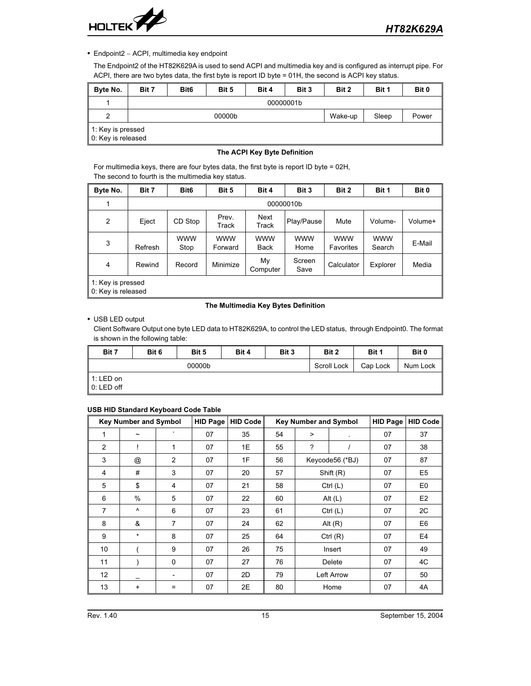

• Endpoint2 - ACPI, multimedia key endpoint

The Endpoint2 of the HT82K629A is used to send ACPI and multimedia key and is configured as interrupt pipe. For ACPI, there are two bytes data, the first byte is report ID byte = 01H, the second is ACPI key status.

| Byte No.                                  | Bit 7 | Bit <sub>6</sub>                    | Bit 5 | Bit 4 | Bit 3 | Bit 2 | Bit 1 | Bit 0 |  |  |  |
|-------------------------------------------|-------|-------------------------------------|-------|-------|-------|-------|-------|-------|--|--|--|
|                                           |       | 00000001b                           |       |       |       |       |       |       |  |  |  |
| 2                                         |       | Power<br>00000b<br>Wake-up<br>Sleep |       |       |       |       |       |       |  |  |  |
| ∥ 1: Key is pressed<br>0: Key is released |       |                                     |       |       |       |       |       |       |  |  |  |

# **The ACPI Key Byte Definition**

For multimedia keys, there are four bytes data, the first byte is report ID byte = 02H, The second to fourth is the multimedia key status.

| Byte No.       | Bit 7                                   | Bit <sub>6</sub>   | Bit 5                 | Bit 4              | Bit 3              | Bit 2                   | Bit 1                | Bit 0   |  |  |  |
|----------------|-----------------------------------------|--------------------|-----------------------|--------------------|--------------------|-------------------------|----------------------|---------|--|--|--|
| 1              |                                         | 00000010b          |                       |                    |                    |                         |                      |         |  |  |  |
| $\overline{2}$ | Eject                                   | CD Stop            | Prev.<br>Track        | Next<br>Track      | Play/Pause         | Mute                    | Volume-              | Volume+ |  |  |  |
| 3              | Refresh                                 | <b>WWW</b><br>Stop | <b>WWW</b><br>Forward | <b>WWW</b><br>Back | <b>WWW</b><br>Home | <b>WWW</b><br>Favorites | <b>WWW</b><br>Search | E-Mail  |  |  |  |
| 4              | Rewind                                  | Record             | Minimize              | My<br>Computer     | Screen<br>Save     | Calculator              | Explorer             | Media   |  |  |  |
|                | 1: Key is pressed<br>0: Key is released |                    |                       |                    |                    |                         |                      |         |  |  |  |

## **The Multimedia Key Bytes Definition**

# USB LED output

Client Software Output one byte LED data to HT82K629A, to control the LED status, through Endpoint0. The format is shown in the following table:

| Bit 7        | Bit 6 | Bit 5  | Bit 4 | Bit 3 | Bit 2       | Bit 1    | Bit 0    |
|--------------|-------|--------|-------|-------|-------------|----------|----------|
|              |       | 00000b |       |       | Scroll Lock | Cap Lock | Num Lock |
| 1: LED on    |       |        |       |       |             |          |          |
| $0:$ LED off |       |        |       |       |             |          |          |

## **USB HID Standard Keyboard Code Table**

|                 | <b>Key Number and Symbol</b> |                          | <b>HID Page</b> | <b>HID Code</b> |    | <b>Key Number and Symbol</b> |                 |    | <b>HID Code</b> |
|-----------------|------------------------------|--------------------------|-----------------|-----------------|----|------------------------------|-----------------|----|-----------------|
| 1               | $\tilde{}$                   | $\cdot$                  | 07              | 35              | 54 | >                            | $\cdot$         | 07 | 37              |
| $\overline{2}$  |                              | 1                        | 07              | 1E              | 55 | ?                            |                 | 07 | 38              |
| 3               | $^{\circledR}$               | $\overline{2}$           | 07              | 1F              | 56 |                              | Keycode56 (*BJ) | 07 | 87              |
| 4               | #                            | 3                        | 07              | 20              | 57 |                              | Shift (R)       | 07 | E <sub>5</sub>  |
| 5               | \$                           | 4                        | 07              | 21              | 58 |                              | Ctrl $(L)$      | 07 | E <sub>0</sub>  |
| 6               | $\%$                         | 5                        | 07              | 22              | 60 |                              | Alt $(L)$       |    | E2              |
| $\overline{7}$  | $\wedge$                     | 6                        | 07              | 23              | 61 |                              | Ctrl $(L)$      | 07 | 2C              |
| 8               | &                            | 7                        | 07              | 24              | 62 |                              | Alt $(R)$       | 07 | E <sub>6</sub>  |
| 9               | $\star$                      | 8                        | 07              | 25              | 64 |                              | Ctrl $(R)$      | 07 | E <sub>4</sub>  |
| 10 <sup>1</sup> |                              | 9                        | 07              | 26              | 75 |                              | Insert          | 07 | 49              |
| 11              |                              | $\mathbf 0$              | 07              | 27              | 76 |                              | Delete          |    | 4C              |
| 12              |                              | $\overline{\phantom{a}}$ | 07              | 2D              | 79 |                              | Left Arrow      | 07 | 50              |
| 13              | +                            | $=$                      | 07              | 2E              | 80 |                              | Home            | 07 | 4A              |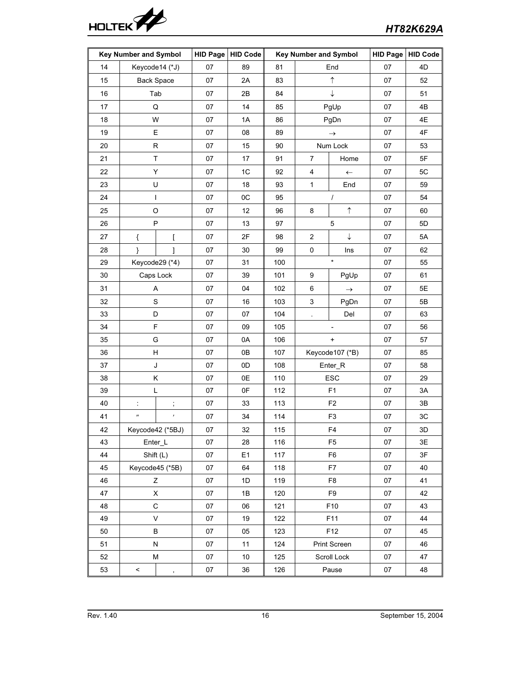

|    | <b>Key Number and Symbol</b> |                      | <b>HID Page</b> | <b>HID Code</b> | <b>Key Number and Symbol</b> |                                  | <b>HID Page</b> | <b>HID Code</b> |               |
|----|------------------------------|----------------------|-----------------|-----------------|------------------------------|----------------------------------|-----------------|-----------------|---------------|
| 14 | Keycode14 (*J)               |                      | 07              | 89              | 81                           |                                  | End             | 07              | 4D            |
| 15 | <b>Back Space</b>            |                      | 07              | 2A              | 83                           |                                  | $\uparrow$      | 07              | 52            |
| 16 | Tab                          |                      | 07              | 2В              | 84                           | ↓                                |                 | 07              | 51            |
| 17 | Q                            |                      | 07              | 14              | 85                           |                                  | PgUp            | 07              | 4B            |
| 18 | W                            |                      | 07              | 1A              | 86                           |                                  | PgDn            | 07              | 4E            |
| 19 | Е                            |                      | 07              | 08              | 89                           |                                  | $\rightarrow$   | 07              | 4F            |
| 20 | ${\sf R}$                    |                      | 07              | 15              | 90                           |                                  | Num Lock        | 07              | 53            |
| 21 | Τ                            |                      | 07              | 17              | 91                           | 7                                | Home            | 07              | 5F            |
| 22 | Υ                            |                      | 07              | 1C              | 92                           | 4                                | $\leftarrow$    | 07              | 5C            |
| 23 | U                            |                      | 07              | 18              | 93                           | $\mathbf{1}$                     | End             | 07              | 59            |
| 24 | I                            |                      | 07              | 0C              | 95                           |                                  | $\prime$        | 07              | 54            |
| 25 | O                            |                      | 07              | 12              | 96                           | 8                                | $\uparrow$      | 07              | 60            |
| 26 | P                            |                      | 07              | 13              | 97                           |                                  | 5               | 07              | 5D            |
| 27 | {                            | ſ                    | 07              | 2F              | 98                           | $\overline{2}$                   | $\downarrow$    | 07              | 5A            |
| 28 | }                            | 1                    | 07              | 30              | 99                           | $\pmb{0}$                        | Ins             | 07              | 62            |
| 29 | Keycode29 (*4)               |                      | 07              | 31              | 100                          | $\star$                          |                 | 07              | 55            |
| 30 | Caps Lock                    |                      | 07              | 39              | 101                          | 9                                | PgUp            | 07              | 61            |
| 31 | Α                            |                      | 07              | 04              | 102                          | 6                                | $\rightarrow$   | 07              | 5E            |
| 32 | S                            |                      | 07              | 16              | 103                          | 3                                | PgDn            | 07              | 5B            |
| 33 | D                            |                      | 07              | 07              | 104                          | $\overline{\phantom{a}}$         | Del             | 07              | 63            |
| 34 | $\mathsf F$                  |                      | 07              | 09              | 105                          |                                  |                 | 07              | 56            |
| 35 | G                            |                      | 07              | 0A              | 106                          | $\begin{array}{c} + \end{array}$ |                 | 07              | 57            |
| 36 | н                            |                      | 07              | 0B              | 107                          |                                  | Keycode107 (*B) | 07              | 85            |
| 37 | J                            |                      | 07              | 0D              | 108                          |                                  | Enter_R         | 07              | 58            |
| 38 | Κ                            |                      | 07              | 0E              | 110                          |                                  | ESC             | 07              | 29            |
| 39 | L                            |                      | $07\,$          | 0F              | 112                          |                                  | F <sub>1</sub>  | 07              | 3A            |
| 40 | $\ddot{\phantom{a}}$         | $\ddot{\phantom{0}}$ | 07              | 33              | 113                          |                                  | F <sub>2</sub>  | 07              | 3B            |
| 41 | $^{\prime\prime}$            | $\bar{r}$            | 07              | 34              | 114                          |                                  | F <sub>3</sub>  | 07              | 3C            |
| 42 | Keycode42 (*5BJ)             |                      | 07              | 32              | 115                          |                                  | F4              | 07              | $3\mathsf{D}$ |
| 43 | Enter_L                      |                      | 07              | 28              | 116                          |                                  | F <sub>5</sub>  | 07              | 3E            |
| 44 | Shift (L)                    |                      | 07              | E <sub>1</sub>  | 117                          |                                  | F <sub>6</sub>  | 07              | 3F            |
| 45 | Keycode45 (*5B)              |                      | 07              | 64              | 118                          |                                  | F7              | 07              | 40            |
| 46 | Ζ                            |                      | 07              | 1D              | 119                          |                                  | F <sub>8</sub>  | 07              | 41            |
| 47 | Χ                            |                      | 07              | 1B              | 120                          |                                  | F9              | 07              | 42            |
| 48 | С                            |                      | 07              | 06              | 121                          |                                  | F10             | 07              | 43            |
| 49 | V                            |                      | 07              | 19              | 122                          |                                  | F11             | 07              | 44            |
| 50 | В                            |                      | 07              | 05              | 123                          |                                  | F12             | 07              | 45            |
| 51 | N                            |                      | 07              | 11              | 124                          |                                  | Print Screen    | 07              | 46            |
| 52 | М                            |                      | $07\,$          | $10\,$          | 125                          |                                  | Scroll Lock     | 07              | 47            |
| 53 | $\,<$                        | $\,$                 | 07              | 36              | 126                          |                                  | Pause           | $07\,$          | 48            |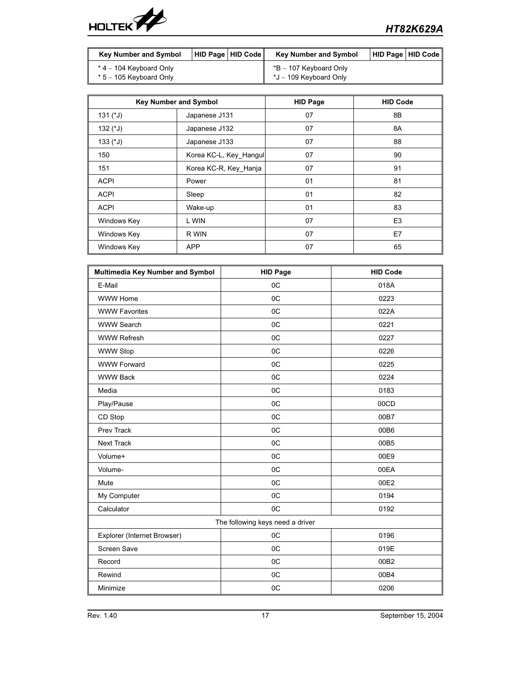

| <b>Key Number and Symbol</b> | <sup>∣</sup> HID Paqe ∣ HID Code ∥ | <b>Key Number and Symbol</b> | HID Page   HID Code |
|------------------------------|------------------------------------|------------------------------|---------------------|
| $*$ 4 – 104 Keyboard Only    |                                    | *B – 107 Keyboard Only       |                     |
| $*5 - 105$ Keyboard Only     |                                    | *J – 109 Keyboard Only       |                     |

|                   | <b>Key Number and Symbol</b> | <b>HID Page</b> | <b>HID Code</b> |
|-------------------|------------------------------|-----------------|-----------------|
| 131 $(^{\ast}$ J) | Japanese J131                | 07              | 8B              |
| 132 $(1)$         | Japanese J132                | 07              | 8A              |
| $133$ ( $^*$ J)   | Japanese J133                | 07              | 88              |
| 150               | Korea KC-L, Key Hangul       | 07              | 90              |
| 151               | Korea KC-R, Key Hanja        | 07              | 91              |
| <b>ACPI</b>       | Power                        | 01              | 81              |
| <b>ACPI</b>       | Sleep                        | 01              | 82              |
| <b>ACPI</b>       | Wake-up                      | 01              | 83              |
| Windows Key       | L WIN                        | 07              | E <sub>3</sub>  |
| Windows Key       | R WIN                        | 07              | E7              |
| Windows Key       | <b>APP</b>                   | 07              | 65              |

| Multimedia Key Number and Symbol | <b>HID Page</b> | <b>HID Code</b> |  |  |  |  |
|----------------------------------|-----------------|-----------------|--|--|--|--|
| E-Mail                           | 0C              | 018A            |  |  |  |  |
| <b>WWW Home</b>                  | 0C              | 0223            |  |  |  |  |
| <b>WWW Favorites</b>             | 0C              | 022A            |  |  |  |  |
| <b>WWW Search</b>                | 0C              | 0221            |  |  |  |  |
| <b>WWW Refresh</b>               | 0C              | 0227            |  |  |  |  |
| <b>WWW Stop</b>                  | 0C              | 0226            |  |  |  |  |
| <b>WWW Forward</b>               | 0C              | 0225            |  |  |  |  |
| <b>WWW Back</b>                  | 0C              | 0224            |  |  |  |  |
| Media                            | 0C              | 0183            |  |  |  |  |
| Play/Pause                       | 0C              | 00CD            |  |  |  |  |
| CD Stop                          | 0 <sup>C</sup>  | 00B7            |  |  |  |  |
| Prev Track                       | 0C              | 00B6            |  |  |  |  |
| Next Track                       | OC              | 00B5            |  |  |  |  |
| Volume+                          | 0C              | 00E9            |  |  |  |  |
| Volume-                          | 0C              | 00EA            |  |  |  |  |
| Mute                             | 0C              | 00E2            |  |  |  |  |
| My Computer                      | 0C              | 0194            |  |  |  |  |
| Calculator                       | 0C              | 0192            |  |  |  |  |
| The following keys need a driver |                 |                 |  |  |  |  |
| Explorer (Internet Browser)      | 0C              | 0196            |  |  |  |  |
| <b>Screen Save</b>               | 0C              | 019E            |  |  |  |  |
| Record                           | 0 <sup>C</sup>  | 00B2            |  |  |  |  |
| Rewind                           | 0C              | 00B4            |  |  |  |  |
| Minimize                         | OC              | 0206            |  |  |  |  |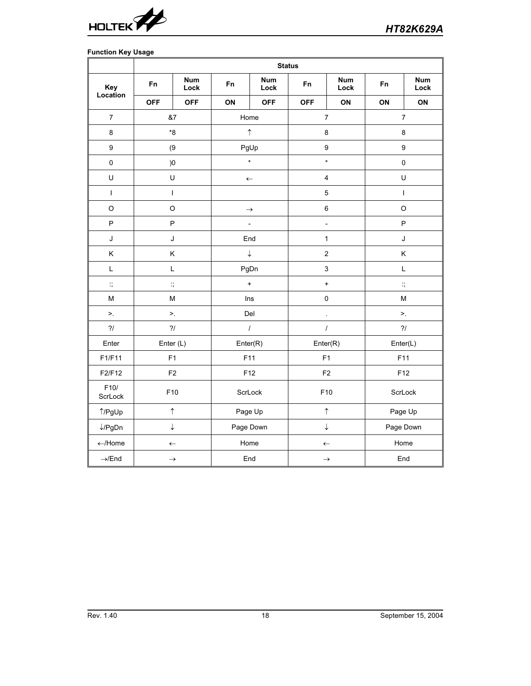

# **Function Key Usage**

|                    | <b>Status</b>         |                    |                |                    |                          |                         |                  |                                                                                       |  |
|--------------------|-----------------------|--------------------|----------------|--------------------|--------------------------|-------------------------|------------------|---------------------------------------------------------------------------------------|--|
| Key                | <b>Fn</b>             | <b>Num</b><br>Lock | <b>Fn</b>      | <b>Num</b><br>Lock | F <sub>n</sub>           | <b>Num</b><br>Lock      | <b>Fn</b>        | <b>Num</b><br>Lock                                                                    |  |
| Location           | <b>OFF</b>            | <b>OFF</b>         | ON             | <b>OFF</b>         | <b>OFF</b>               | ON                      | ON               | ON                                                                                    |  |
| $\overline{7}$     | &7                    |                    | Home           |                    |                          | $\overline{7}$          |                  | $\overline{7}$                                                                        |  |
| 8                  | $^{\ast}8$            |                    | $\uparrow$     |                    | $\bf 8$                  |                         | $\bf 8$          |                                                                                       |  |
| 9                  | (9)                   |                    | PgUp           |                    | $\boldsymbol{9}$         |                         | $\boldsymbol{9}$ |                                                                                       |  |
| $\mathsf 0$        | )0                    |                    | $^\star$       |                    | $\star$                  |                         | $\mathbf 0$      |                                                                                       |  |
| U                  | U                     |                    | $\leftarrow$   |                    |                          | $\overline{\mathbf{4}}$ |                  | U                                                                                     |  |
| $\mathbf{I}$       |                       | $\mathbf{I}$       |                |                    | 5                        |                         |                  | $\mathbf{I}$                                                                          |  |
| $\mathsf O$        | $\hbox{O}$            |                    | $\rightarrow$  |                    | 6                        |                         | $\circ$          |                                                                                       |  |
| P                  | P                     |                    | $\overline{a}$ |                    | $\overline{\phantom{a}}$ |                         | $\mathsf{P}$     |                                                                                       |  |
| J                  | J                     |                    | End            |                    | $\mathbf{1}$             |                         | J                |                                                                                       |  |
| Κ                  | Κ                     |                    | $\downarrow$   |                    | $\overline{c}$           |                         | Κ                |                                                                                       |  |
| $\mathsf L$        | L                     |                    | PgDn           |                    | 3                        |                         | L                |                                                                                       |  |
| $\dddot{\cdot}$    | $\dddot{\phantom{1}}$ |                    | $\ddot{}$      |                    | $\pmb{+}$                |                         |                  | $\ddot{\cdot}$                                                                        |  |
| M                  | M                     |                    | Ins            |                    | $\mathsf 0$              |                         |                  | $\mathsf{M}% _{T}=\mathsf{M}_{T}\!\left( a,b\right) ,\ \mathsf{M}_{T}=\mathsf{M}_{T}$ |  |
| >.                 | $\geq$ .              |                    | Del            |                    | $\Box$                   |                         |                  | >.                                                                                    |  |
| $\gamma/$          | $\gamma/$             |                    |                | $\prime$           |                          | $\cal I$                |                  | $\gamma/$                                                                             |  |
| Enter              | Enter (L)             |                    | Enter(R)       |                    | Enter(R)                 |                         | Enter(L)         |                                                                                       |  |
| F1/F11             | F1                    |                    | F11            |                    | F1                       |                         | F11              |                                                                                       |  |
| F2/F12             | $\mathsf{F}2$         |                    | F12            |                    | F <sub>2</sub>           | F12                     |                  |                                                                                       |  |
| F10/<br>ScrLock    | F10                   |                    | ScrLock        |                    | F10                      |                         | ScrLock          |                                                                                       |  |
| ↑/PgUp             | $\uparrow$            |                    | Page Up        |                    | $\uparrow$               |                         | Page Up          |                                                                                       |  |
| $\downarrow$ /PgDn | $\downarrow$          |                    | Page Down      |                    | $\downarrow$             |                         | Page Down        |                                                                                       |  |
| $\leftarrow$ /Home | $\leftarrow$          |                    | Home           |                    | $\leftarrow$             |                         | Home             |                                                                                       |  |
| $\rightarrow$ /End | $\rightarrow$         |                    | End            |                    | $\rightarrow$            |                         | End              |                                                                                       |  |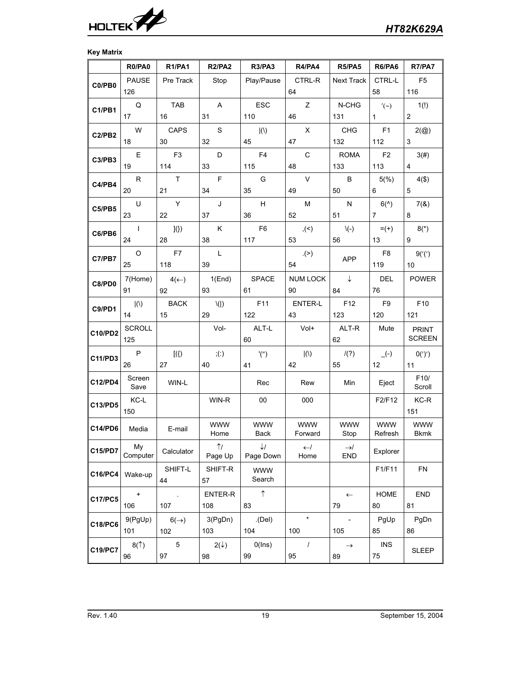

# **Key Matrix**

|                | R0/PA0                           | <b>R1/PA1</b>    | <b>R2/PA2</b>      | <b>R3/PA3</b>         | R4/PA4                    | <b>R5/PA5</b>         | R6/PA6                           | <b>R7/PA7</b>             |
|----------------|----------------------------------|------------------|--------------------|-----------------------|---------------------------|-----------------------|----------------------------------|---------------------------|
| C0/PB0         | <b>PAUSE</b>                     | Pre Track        | Stop               | Play/Pause            | CTRL-R                    | <b>Next Track</b>     | CTRL-L                           | F <sub>5</sub>            |
|                | 126                              |                  |                    |                       | 64                        |                       | 58                               | 116                       |
| C1/PB1         | Q                                | <b>TAB</b>       | Α                  | <b>ESC</b>            | Z                         | N-CHG                 | $'(\sim)$                        | 1(!)                      |
|                | 17                               | 16               | 31                 | 110                   | 46                        | 131                   | $\mathbf{1}$                     | $\mathbf{2}^{\prime}$     |
| C2/PB2         | W                                | CAPS             | $\mathsf S$        | $ (\langle \rangle)$  | X                         | <b>CHG</b>            | F <sub>1</sub>                   | $2(\textcircled{a})$      |
|                | 18                               | 30               | 32                 | 45                    | 47                        | 132                   | 112                              | 3                         |
| C3/PB3         | E                                | F <sub>3</sub>   | D                  | F <sub>4</sub>        | $\mathsf{C}$              | <b>ROMA</b>           | F <sub>2</sub>                   | 3(#)                      |
|                | 19                               | 114              | 33                 | 115                   | 48                        | 133                   | 113                              | 4                         |
| C4/PB4         | R                                | T.               | F                  | G                     | $\vee$                    | B                     | 5(%)                             | $4({\$})$                 |
|                | 20                               | 21               | 34                 | 35                    | 49                        | 50                    | 6                                | 5                         |
| C5/PB5         | U<br>23                          | Y<br>22          | J<br>37            | H<br>36               | M<br>52                   | N<br>51               | $6(^{\wedge})$<br>$\overline{7}$ | 7(8)                      |
|                |                                  |                  |                    |                       |                           |                       |                                  | 8                         |
| C6/PB6         | $\mathbf{I}$<br>24               | J()<br>28        | Κ<br>38            | F <sub>6</sub><br>117 | ,(<)<br>53                | $\setminus (-)$<br>56 | $= (+)$<br>13                    | $8(*)$<br>9               |
|                | $\circ$                          | F7               | L                  |                       | . (>)                     |                       | F <sub>8</sub>                   |                           |
| C7/PB7         | 25                               | 118              | 39                 |                       | 54                        | <b>APP</b>            | 119                              | 9('('))<br>10             |
|                | 7(Home)                          | $4(\leftarrow)$  | 1(End)             | <b>SPACE</b>          | <b>NUM LOCK</b>           | $\downarrow$          | <b>DEL</b>                       | <b>POWER</b>              |
| C8/PD0         | 91                               | 92               | 93                 | 61                    | 90                        | 84                    | 76                               |                           |
|                | ()                               | <b>BACK</b>      | $\setminus$ ( )    | F11                   | <b>ENTER-L</b>            | F12                   | F <sub>9</sub>                   | F10                       |
| C9/PD1         | 14                               | 15               | 29                 | 122                   | 43                        | 123                   | 120                              | 121                       |
|                | <b>SCROLL</b>                    |                  | Vol-               | ALT-L                 | Vol+                      | ALT-R                 | Mute                             | <b>PRINT</b>              |
| <b>C10/PD2</b> | 125                              |                  |                    | 60                    |                           | 62                    |                                  | <b>SCREEN</b>             |
| C11/PD3        | P                                | $[$ ({)          | ; (.)              | '('')                 | $\vert(\mathcal{N})\vert$ | /(?)                  | $\overline{(-)}$                 | 0(')'                     |
|                | 26                               | 27               | 40                 | 41                    | 42                        | 55                    | 12                               | 11                        |
| C12/PD4        | Screen<br>Save                   | WIN-L            |                    | Rec                   | Rew                       | Min                   | Eject                            | F10/<br>Scroll            |
| C13/PD5        | KC-L                             |                  | WIN-R              | 00                    | 000                       |                       | F2/F12                           | KC-R                      |
|                | 150                              |                  |                    |                       |                           |                       |                                  | 151                       |
| <b>C14/PD6</b> | Media                            | E-mail           | <b>WWW</b><br>Home | <b>WWW</b><br>Back    | <b>WWW</b><br>Forward     | <b>WWW</b><br>Stop    | <b>WWW</b><br>Refresh            | <b>WWW</b><br><b>Bkmk</b> |
|                | My                               |                  | $\uparrow$         | $\downarrow$          | $\leftarrow$ /            | $\rightarrow$ /       |                                  |                           |
| C15/PD7        | Computer                         | Calculator       | Page Up            | Page Down             | Home                      | <b>END</b>            | Explorer                         |                           |
| C16/PC4        | Wake-up                          | SHIFT-L<br>44    | SHIFT-R<br>57      | <b>WWW</b><br>Search  |                           |                       | F1/F11                           | <b>FN</b>                 |
|                | $\begin{array}{c} + \end{array}$ | $\cdot$          | ENTER-R            | $\uparrow$            |                           | $\leftarrow$          | HOME                             | <b>END</b>                |
| <b>C17/PC5</b> | 106                              | 107              | 108                | 83                    |                           | 79                    | 80                               | 81                        |
|                | 9(PgUp)                          | $6(\rightarrow)$ | 3(PgDn)            | (Del)                 | $\star$                   |                       | PgUp                             | PgDn                      |
| C18/PC6        | 101                              | 102              | 103                | 104                   | 100                       | 105                   | 85                               | 86                        |
|                | 8(1)                             | 5                | $2(\downarrow)$    | O(lns)                | $\prime$                  | $\rightarrow$         | <b>INS</b>                       |                           |
| C19/PC7        | 96                               | 97               | 98                 | 99                    | 95                        | 89                    | 75                               | <b>SLEEP</b>              |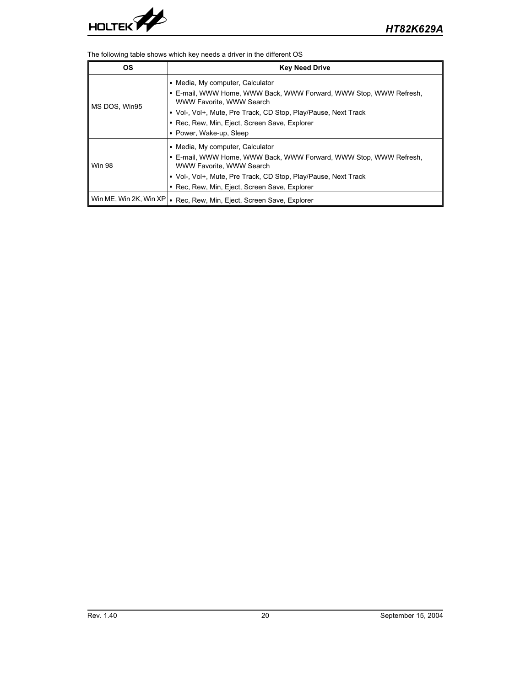

The following table shows which key needs a driver in the different OS

| ΟS                          | <b>Key Need Drive</b>                                                                                                                                                                               |  |  |  |  |
|-----------------------------|-----------------------------------------------------------------------------------------------------------------------------------------------------------------------------------------------------|--|--|--|--|
| MS DOS, Win95               | • Media, My computer, Calculator<br>• E-mail, WWW Home, WWW Back, WWW Forward, WWW Stop, WWW Refresh,<br>WWW Favorite, WWW Search                                                                   |  |  |  |  |
|                             | • Vol-, Vol+, Mute, Pre Track, CD Stop, Play/Pause, Next Track<br>• Rec, Rew, Min, Eject, Screen Save, Explorer<br>• Power, Wake-up, Sleep                                                          |  |  |  |  |
| <b>Win 98</b>               | • Media, My computer, Calculator<br>• E-mail, WWW Home, WWW Back, WWW Forward, WWW Stop, WWW Refresh,<br>WWW Favorite, WWW Search<br>• Vol-, Vol+, Mute, Pre Track, CD Stop, Play/Pause, Next Track |  |  |  |  |
| Win ME, Win 2K, Win $XP$  . | • Rec, Rew, Min, Eject, Screen Save, Explorer<br>Rec, Rew, Min, Eject, Screen Save, Explorer                                                                                                        |  |  |  |  |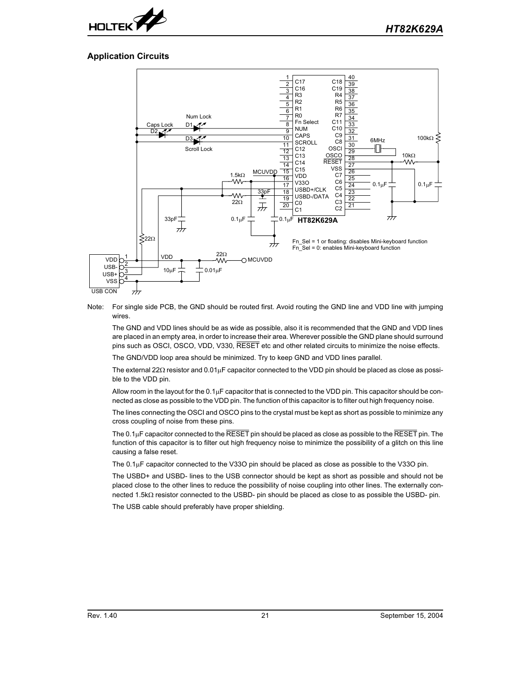

# **Application Circuits**



Note: For single side PCB, the GND should be routed first. Avoid routing the GND line and VDD line with jumping wires.

The GND and VDD lines should be as wide as possible, also it is recommended that the GND and VDD lines are placed in an empty area, in order to increase their area. Wherever possible the GND plane should surround pins such as OSCI, OSCO, VDD, V330, RESET etc and other related circuits to minimize the noise effects.

The GND/VDD loop area should be minimized. Try to keep GND and VDD lines parallel.

The external 22 $\Omega$  resistor and  $0.01\mu$ F capacitor connected to the VDD pin should be placed as close as possible to the VDD pin.

Allow room in the layout for the  $0.1\mu$ F capacitor that is connected to the VDD pin. This capacitor should be connected as close as possible to the VDD pin. The function of this capacitor is to filter out high frequency noise.

The lines connecting the OSCI and OSCO pins to the crystal must be kept as short as possible to minimize any cross coupling of noise from these pins.

The  $0.1\mu$ F capacitor connected to the RESET pin should be placed as close as possible to the RESET pin. The function of this capacitor is to filter out high frequency noise to minimize the possibility of a glitch on this line causing a false reset.

The  $0.1\mu$ F capacitor connected to the V33O pin should be placed as close as possible to the V33O pin.

The USBD+ and USBD- lines to the USB connector should be kept as short as possible and should not be placed close to the other lines to reduce the possibility of noise coupling into other lines. The externally connected 1.5 $k\Omega$  resistor connected to the USBD- pin should be placed as close to as possible the USBD- pin.

The USB cable should preferably have proper shielding.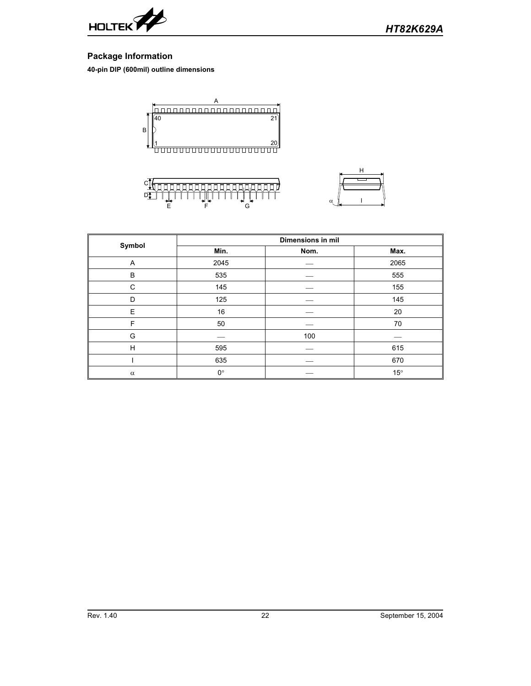

# **Package Information**

**40-pin DIP (600mil) outline dimensions**







| Symbol   | <b>Dimensions in mil</b> |     |              |  |  |
|----------|--------------------------|-----|--------------|--|--|
|          | Min.<br>Nom.             |     | Max.         |  |  |
| Α        | 2045                     |     | 2065         |  |  |
| B        | 535                      |     | 555          |  |  |
| C        | 145                      |     | 155          |  |  |
| D        | 125                      |     | 145          |  |  |
| E        | 16                       |     | 20           |  |  |
| F        | 50                       |     | 70           |  |  |
| G        |                          | 100 |              |  |  |
| H        | 595                      |     | 615          |  |  |
|          | 635                      |     | 670          |  |  |
| $\alpha$ | $0^{\circ}$              |     | $15^{\circ}$ |  |  |